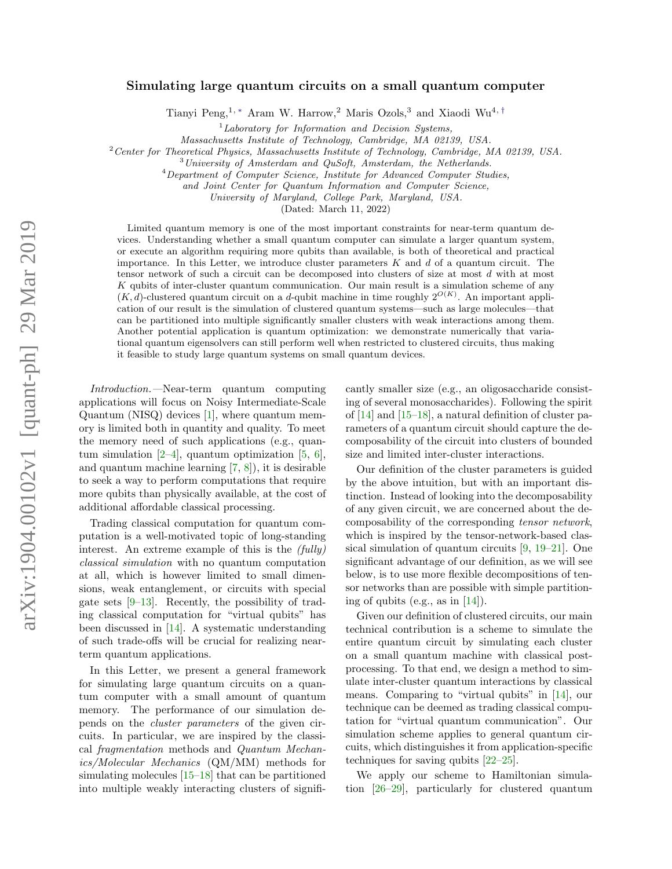# Simulating large quantum circuits on a small quantum computer

Tianyi Peng,<sup>1, \*</sup> Aram W. Harrow,<sup>2</sup> Maris Ozols,<sup>3</sup> and Xiaodi Wu<sup>4,[†](#page-4-1)</sup>

 ${}^{1}$ Laboratory for Information and Decision Systems,

Massachusetts Institute of Technology, Cambridge, MA 02139, USA.

<sup>2</sup>Center for Theoretical Physics, Massachusetts Institute of Technology, Cambridge, MA 02139, USA.

 $3$ University of Amsterdam and QuSoft, Amsterdam, the Netherlands.

<sup>4</sup>Department of Computer Science, Institute for Advanced Computer Studies,

and Joint Center for Quantum Information and Computer Science,

University of Maryland, College Park, Maryland, USA.

(Dated: March 11, 2022)

Limited quantum memory is one of the most important constraints for near-term quantum devices. Understanding whether a small quantum computer can simulate a larger quantum system, or execute an algorithm requiring more qubits than available, is both of theoretical and practical importance. In this Letter, we introduce cluster parameters  $K$  and  $d$  of a quantum circuit. The tensor network of such a circuit can be decomposed into clusters of size at most d with at most  $K$  qubits of inter-cluster quantum communication. Our main result is a simulation scheme of any  $(K, d)$ -clustered quantum circuit on a d-qubit machine in time roughly  $2^{O(K)}$ . An important application of our result is the simulation of clustered quantum systems—such as large molecules—that can be partitioned into multiple significantly smaller clusters with weak interactions among them. Another potential application is quantum optimization: we demonstrate numerically that variational quantum eigensolvers can still perform well when restricted to clustered circuits, thus making it feasible to study large quantum systems on small quantum devices.

Introduction.—Near-term quantum computing applications will focus on Noisy Intermediate-Scale Quantum (NISQ) devices [\[1\]](#page-4-2), where quantum memory is limited both in quantity and quality. To meet the memory need of such applications (e.g., quantum simulation  $[2-4]$  $[2-4]$ , quantum optimization  $[5, 6]$  $[5, 6]$  $[5, 6]$ , and quantum machine learning [\[7,](#page-5-0) [8\]](#page-5-1)), it is desirable to seek a way to perform computations that require more qubits than physically available, at the cost of additional affordable classical processing.

Trading classical computation for quantum computation is a well-motivated topic of long-standing interest. An extreme example of this is the (fully) classical simulation with no quantum computation at all, which is however limited to small dimensions, weak entanglement, or circuits with special gate sets  $[9-13]$  $[9-13]$ . Recently, the possibility of trading classical computation for "virtual qubits" has been discussed in [\[14\]](#page-5-4). A systematic understanding of such trade-offs will be crucial for realizing nearterm quantum applications.

In this Letter, we present a general framework for simulating large quantum circuits on a quantum computer with a small amount of quantum memory. The performance of our simulation depends on the cluster parameters of the given circuits. In particular, we are inspired by the classical fragmentation methods and Quantum Mechanics/Molecular Mechanics (QM/MM) methods for simulating molecules [\[15–](#page-5-5)[18\]](#page-5-6) that can be partitioned into multiple weakly interacting clusters of significantly smaller size (e.g., an oligosaccharide consisting of several monosaccharides). Following the spirit of [\[14\]](#page-5-4) and [\[15](#page-5-5)[–18\]](#page-5-6), a natural definition of cluster parameters of a quantum circuit should capture the decomposability of the circuit into clusters of bounded size and limited inter-cluster interactions.

Our definition of the cluster parameters is guided by the above intuition, but with an important distinction. Instead of looking into the decomposability of any given circuit, we are concerned about the decomposability of the corresponding tensor network, which is inspired by the tensor-network-based classical simulation of quantum circuits [\[9,](#page-5-2) [19](#page-5-7)[–21\]](#page-5-8). One significant advantage of our definition, as we will see below, is to use more flexible decompositions of tensor networks than are possible with simple partitioning of qubits (e.g., as in  $[14]$ ).

Given our definition of clustered circuits, our main technical contribution is a scheme to simulate the entire quantum circuit by simulating each cluster on a small quantum machine with classical postprocessing. To that end, we design a method to simulate inter-cluster quantum interactions by classical means. Comparing to "virtual qubits" in [\[14\]](#page-5-4), our technique can be deemed as trading classical computation for "virtual quantum communication". Our simulation scheme applies to general quantum circuits, which distinguishes it from application-specific techniques for saving qubits [\[22](#page-5-9)[–25\]](#page-5-10).

We apply our scheme to Hamiltonian simulation [\[26–](#page-5-11)[29\]](#page-5-12), particularly for clustered quantum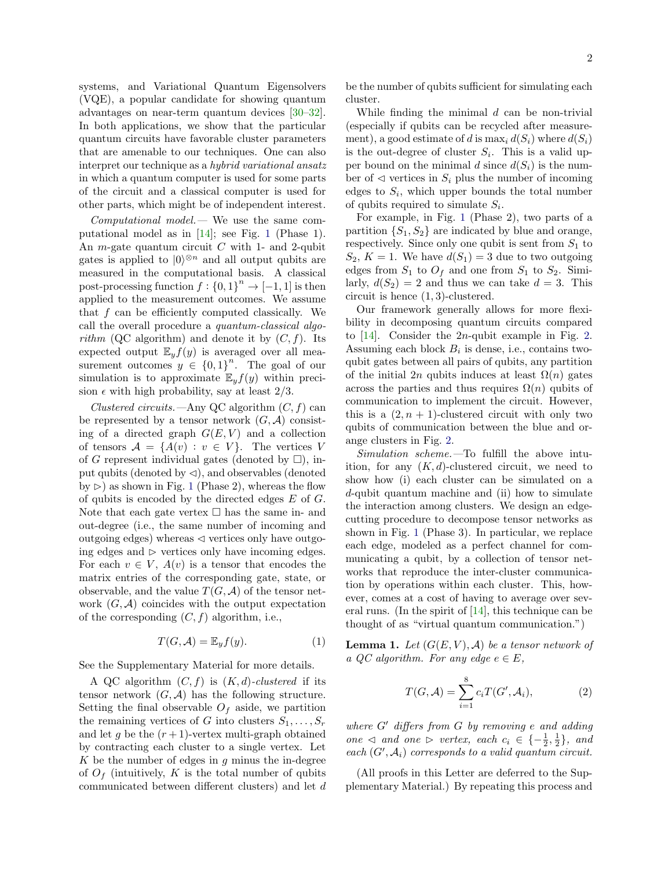systems, and Variational Quantum Eigensolvers (VQE), a popular candidate for showing quantum advantages on near-term quantum devices [\[30–](#page-5-13)[32\]](#page-5-14). In both applications, we show that the particular quantum circuits have favorable cluster parameters that are amenable to our techniques. One can also interpret our technique as a hybrid variational ansatz in which a quantum computer is used for some parts of the circuit and a classical computer is used for other parts, which might be of independent interest.

Computational model.— We use the same computational model as in [\[14\]](#page-5-4); see Fig. [1](#page-2-0) (Phase 1). An *m*-gate quantum circuit  $C$  with 1- and 2-qubit gates is applied to  $|0\rangle^{\otimes n}$  and all output qubits are measured in the computational basis. A classical post-processing function  $f: \{0,1\}^n \to [-1,1]$  is then applied to the measurement outcomes. We assume that f can be efficiently computed classically. We call the overall procedure a quantum-classical algorithm (QC algorithm) and denote it by  $(C, f)$ . Its expected output  $\mathbb{E}_y f(y)$  is averaged over all measurement outcomes  $y \in \{0,1\}^n$ . The goal of our simulation is to approximate  $\mathbb{E}_y f(y)$  within precision  $\epsilon$  with high probability, say at least 2/3.

Clustered circuits.—Any QC algorithm  $(C, f)$  can be represented by a tensor network  $(G, \mathcal{A})$  consisting of a directed graph  $G(E, V)$  and a collection of tensors  $A = \{A(v) : v \in V\}$ . The vertices V of G represent individual gates (denoted by  $\square$ ), input qubits (denoted by  $\triangleleft$ ), and observables (denoted by  $\triangleright$  as shown in Fig. [1](#page-2-0) (Phase 2), whereas the flow of qubits is encoded by the directed edges  $E$  of  $G$ . Note that each gate vertex  $\Box$  has the same in- and out-degree (i.e., the same number of incoming and outgoing edges) whereas  $\triangleleft$  vertices only have outgoing edges and  $\triangleright$  vertices only have incoming edges. For each  $v \in V$ ,  $A(v)$  is a tensor that encodes the matrix entries of the corresponding gate, state, or observable, and the value  $T(G, \mathcal{A})$  of the tensor network  $(G, \mathcal{A})$  coincides with the output expectation of the corresponding  $(C, f)$  algorithm, i.e.,

$$
T(G, \mathcal{A}) = \mathbb{E}_y f(y). \tag{1}
$$

See the Supplementary Material for more details.

A QC algorithm  $(C, f)$  is  $(K, d)$ -clustered if its tensor network  $(G, \mathcal{A})$  has the following structure. Setting the final observable  $O<sub>f</sub>$  aside, we partition the remaining vertices of G into clusters  $S_1, \ldots, S_r$ and let g be the  $(r+1)$ -vertex multi-graph obtained by contracting each cluster to a single vertex. Let  $K$  be the number of edges in  $g$  minus the in-degree of  $O_f$  (intuitively, K is the total number of qubits communicated between different clusters) and let d be the number of qubits sufficient for simulating each cluster.

While finding the minimal d can be non-trivial (especially if qubits can be recycled after measurement), a good estimate of d is  $\max_i d(S_i)$  where  $d(S_i)$ is the out-degree of cluster  $S_i$ . This is a valid upper bound on the minimal d since  $d(S_i)$  is the number of  $\triangleleft$  vertices in  $S_i$  plus the number of incoming edges to  $S_i$ , which upper bounds the total number of qubits required to simulate  $S_i$ .

For example, in Fig. [1](#page-2-0) (Phase 2), two parts of a partition  $\{S_1, S_2\}$  are indicated by blue and orange, respectively. Since only one qubit is sent from  $S_1$  to  $S_2, K = 1$ . We have  $d(S_1) = 3$  due to two outgoing edges from  $S_1$  to  $O_f$  and one from  $S_1$  to  $S_2$ . Similarly,  $d(S_2) = 2$  and thus we can take  $d = 3$ . This circuit is hence (1, 3)-clustered.

Our framework generally allows for more flexibility in decomposing quantum circuits compared to [\[14\]](#page-5-4). Consider the 2n-qubit example in Fig. [2.](#page-2-1) Assuming each block  $B_i$  is dense, i.e., contains twoqubit gates between all pairs of qubits, any partition of the initial 2n qubits induces at least  $\Omega(n)$  gates across the parties and thus requires  $\Omega(n)$  qubits of communication to implement the circuit. However, this is a  $(2, n + 1)$ -clustered circuit with only two qubits of communication between the blue and orange clusters in Fig. [2.](#page-2-1)

Simulation scheme.—To fulfill the above intuition, for any  $(K, d)$ -clustered circuit, we need to show how (i) each cluster can be simulated on a d-qubit quantum machine and (ii) how to simulate the interaction among clusters. We design an edgecutting procedure to decompose tensor networks as shown in Fig. [1](#page-2-0) (Phase 3). In particular, we replace each edge, modeled as a perfect channel for communicating a qubit, by a collection of tensor networks that reproduce the inter-cluster communication by operations within each cluster. This, however, comes at a cost of having to average over several runs. (In the spirit of [\[14\]](#page-5-4), this technique can be thought of as "virtual quantum communication.")

<span id="page-1-1"></span>**Lemma 1.** Let  $(G(E, V), A)$  be a tensor network of a QC algorithm. For any edge  $e \in E$ ,

<span id="page-1-0"></span>
$$
T(G,\mathcal{A}) = \sum_{i=1}^{8} c_i T(G',\mathcal{A}_i),\tag{2}
$$

where  $G'$  differs from  $G$  by removing e and adding one  $\triangleleft$  and one  $\triangleright$  vertex, each  $c_i \in \{-\frac{1}{2}, \frac{1}{2}\}\$ , and each  $(G', \mathcal{A}_i)$  corresponds to a valid quantum circuit.

(All proofs in this Letter are deferred to the Supplementary Material.) By repeating this process and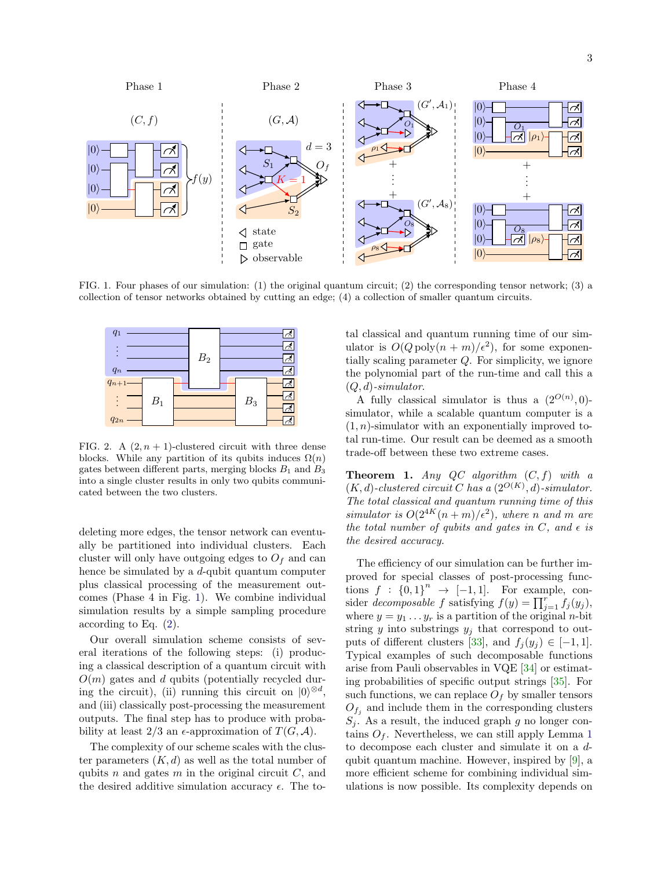

<span id="page-2-0"></span>FIG. 1. Four phases of our simulation: (1) the original quantum circuit; (2) the corresponding tensor network; (3) a collection of tensor networks obtained by cutting an edge; (4) a collection of smaller quantum circuits.



<span id="page-2-1"></span>FIG. 2. A  $(2, n + 1)$ -clustered circuit with three dense blocks. While any partition of its qubits induces  $\Omega(n)$ gates between different parts, merging blocks  $B_1$  and  $B_3$ into a single cluster results in only two qubits communicated between the two clusters.

deleting more edges, the tensor network can eventually be partitioned into individual clusters. Each cluster will only have outgoing edges to  $O<sub>f</sub>$  and can hence be simulated by a  $d$ -qubit quantum computer plus classical processing of the measurement outcomes (Phase 4 in Fig. [1\)](#page-2-0). We combine individual simulation results by a simple sampling procedure according to Eq. [\(2\)](#page-1-0).

Our overall simulation scheme consists of several iterations of the following steps: (i) producing a classical description of a quantum circuit with  $O(m)$  gates and d qubits (potentially recycled during the circuit), (ii) running this circuit on  $|0\rangle^{\otimes d}$ , and (iii) classically post-processing the measurement outputs. The final step has to produce with probability at least 2/3 an  $\epsilon$ -approximation of  $T(G, \mathcal{A})$ .

The complexity of our scheme scales with the cluster parameters  $(K, d)$  as well as the total number of qubits  $n$  and gates  $m$  in the original circuit  $C$ , and the desired additive simulation accuracy  $\epsilon$ . The total classical and quantum running time of our simulator is  $O(Q \text{ poly}(n+m)/\epsilon^2)$ , for some exponentially scaling parameter Q. For simplicity, we ignore the polynomial part of the run-time and call this a  $(Q, d)$ -simulator.

A fully classical simulator is thus a  $(2^{O(n)},0)$ simulator, while a scalable quantum computer is a  $(1, n)$ -simulator with an exponentially improved total run-time. Our result can be deemed as a smooth trade-off between these two extreme cases.

<span id="page-2-2"></span>**Theorem 1.** Any QC algorithm  $(C, f)$  with a  $(K, d)$ -clustered circuit C has a  $(2^{O(K)}, d)$ -simulator. The total classical and quantum running time of this simulator is  $O(2^{4K}(n+m)/\epsilon^2)$ , where n and m are the total number of qubits and gates in C, and  $\epsilon$  is the desired accuracy.

The efficiency of our simulation can be further improved for special classes of post-processing functions  $f : \{0,1\}^n \rightarrow [-1,1].$  For example, consider decomposable f satisfying  $f(y) = \prod_{j=1}^{r} f_j(y_j)$ , where  $y = y_1 \dots y_r$  is a partition of the original *n*-bit string  $y$  into substrings  $y_j$  that correspond to out-puts of different clusters [\[33\]](#page-5-15), and  $f_j(y_j) \in [-1,1]$ . Typical examples of such decomposable functions arise from Pauli observables in VQE [\[34\]](#page-5-16) or estimating probabilities of specific output strings [\[35\]](#page-5-17). For such functions, we can replace  $O<sub>f</sub>$  by smaller tensors  $O_{f_j}$  and include them in the corresponding clusters  $S_j$ . As a result, the induced graph g no longer contains  $O_f$ . Nevertheless, we can still apply Lemma [1](#page-1-1) to decompose each cluster and simulate it on a dqubit quantum machine. However, inspired by [\[9\]](#page-5-2), a more efficient scheme for combining individual simulations is now possible. Its complexity depends on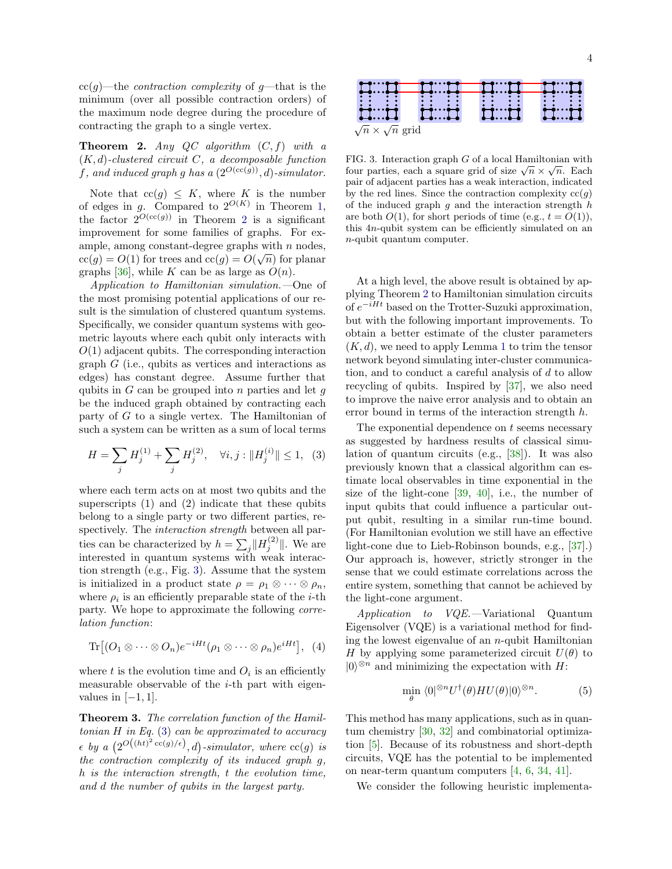$cc(q)$ —the *contraction complexity* of  $q$ —that is the minimum (over all possible contraction orders) of the maximum node degree during the procedure of contracting the graph to a single vertex.

<span id="page-3-0"></span>**Theorem 2.** Any QC algorithm  $(C, f)$  with a  $(K, d)$ -clustered circuit C, a decomposable function f, and induced graph g has a  $(2^{O(\text{cc}(g))}, d)$ -simulator.

Note that  $cc(g) \leq K$ , where K is the number of edges in g. Compared to  $2^{O(K)}$  in Theorem [1,](#page-2-2) the factor  $2^{O(cc(g))}$  $2^{O(cc(g))}$  in Theorem 2 is a significant improvement for some families of graphs. For example, among constant-degree graphs with *n* nodes,  $cc(g) = O(1)$  for trees and  $cc(g) = O(\sqrt{n})$  for planar graphs [\[36\]](#page-5-18), while K can be as large as  $O(n)$ .

Application to Hamiltonian simulation.—One of the most promising potential applications of our result is the simulation of clustered quantum systems. Specifically, we consider quantum systems with geometric layouts where each qubit only interacts with  $O(1)$  adjacent qubits. The corresponding interaction graph  $G$  (i.e., qubits as vertices and interactions as edges) has constant degree. Assume further that qubits in  $G$  can be grouped into  $n$  parties and let  $q$ be the induced graph obtained by contracting each party of G to a single vertex. The Hamiltonian of such a system can be written as a sum of local terms

<span id="page-3-2"></span>
$$
H = \sum_{j} H_j^{(1)} + \sum_{j} H_j^{(2)}, \quad \forall i, j : ||H_j^{(i)}|| \le 1, \tag{3}
$$

where each term acts on at most two qubits and the superscripts (1) and (2) indicate that these qubits belong to a single party or two different parties, respectively. The interaction strength between all parties can be characterized by  $h = \sum_j ||H_j^{(2)}||$ . We are interested in quantum systems with weak interaction strength (e.g., Fig. [3\)](#page-3-1). Assume that the system is initialized in a product state  $\rho = \rho_1 \otimes \cdots \otimes \rho_n$ , where  $\rho_i$  is an efficiently preparable state of the *i*-th party. We hope to approximate the following correlation function:

$$
\text{Tr}\big[(O_1\otimes\cdots\otimes O_n)e^{-iHt}(\rho_1\otimes\cdots\otimes\rho_n)e^{iHt}\big],\ \ (4)
$$

where  $t$  is the evolution time and  $O_i$  is an efficiently measurable observable of the *i*-th part with eigenvalues in  $[-1, 1]$ .

<span id="page-3-3"></span>Theorem 3. The correlation function of the Hamiltonian  $H$  in Eq. [\(3\)](#page-3-2) can be approximated to accuracy  $\epsilon$  by a  $(2^{O((ht)^2 \ncsc(g)/\epsilon)}, d)$ -simulator, where  $\operatorname{cc}(g)$  is the contraction complexity of its induced graph g, h is the interaction strength, t the evolution time, and d the number of qubits in the largest party.

 $\sqrt{n} \times \sqrt{n}$  grid

<span id="page-3-1"></span>FIG. 3. Interaction graph G of a local Hamiltonian with **FIG.** 5. Interaction graph G of a local Hammonian with<br>four parties, each a square grid of size  $\sqrt{n} \times \sqrt{n}$ . Each pair of adjacent parties has a weak interaction, indicated by the red lines. Since the contraction complexity  $cc(g)$ of the induced graph  $g$  and the interaction strength  $h$ are both  $O(1)$ , for short periods of time (e.g.,  $t = O(1)$ ), this 4n-qubit system can be efficiently simulated on an n-qubit quantum computer.

At a high level, the above result is obtained by applying Theorem [2](#page-3-0) to Hamiltonian simulation circuits of  $e^{-iHt}$  based on the Trotter-Suzuki approximation, but with the following important improvements. To obtain a better estimate of the cluster parameters  $(K, d)$ , we need to apply Lemma [1](#page-1-1) to trim the tensor network beyond simulating inter-cluster communication, and to conduct a careful analysis of d to allow recycling of qubits. Inspired by [\[37\]](#page-5-19), we also need to improve the naive error analysis and to obtain an error bound in terms of the interaction strength h.

The exponential dependence on  $t$  seems necessary as suggested by hardness results of classical simulation of quantum circuits (e.g., [\[38\]](#page-5-20)). It was also previously known that a classical algorithm can estimate local observables in time exponential in the size of the light-cone [\[39,](#page-5-21) [40\]](#page-5-22), i.e., the number of input qubits that could influence a particular output qubit, resulting in a similar run-time bound. (For Hamiltonian evolution we still have an effective light-cone due to Lieb-Robinson bounds, e.g., [\[37\]](#page-5-19).) Our approach is, however, strictly stronger in the sense that we could estimate correlations across the entire system, something that cannot be achieved by the light-cone argument.

Application to VQE.—Variational Quantum Eigensolver (VQE) is a variational method for finding the lowest eigenvalue of an  $n$ -qubit Hamiltonian H by applying some parameterized circuit  $U(\theta)$  to  $|0\rangle^{\otimes n}$  and minimizing the expectation with H:

$$
\min_{\theta} \langle 0 |^{\otimes n} U^{\dagger}(\theta) H U(\theta) | 0 \rangle^{\otimes n}.
$$
 (5)

This method has many applications, such as in quantum chemistry [\[30,](#page-5-13) [32\]](#page-5-14) and combinatorial optimization [\[5\]](#page-4-5). Because of its robustness and short-depth circuits, VQE has the potential to be implemented on near-term quantum computers [\[4,](#page-4-4) [6,](#page-4-6) [34,](#page-5-16) [41\]](#page-5-23).

We consider the following heuristic implementa-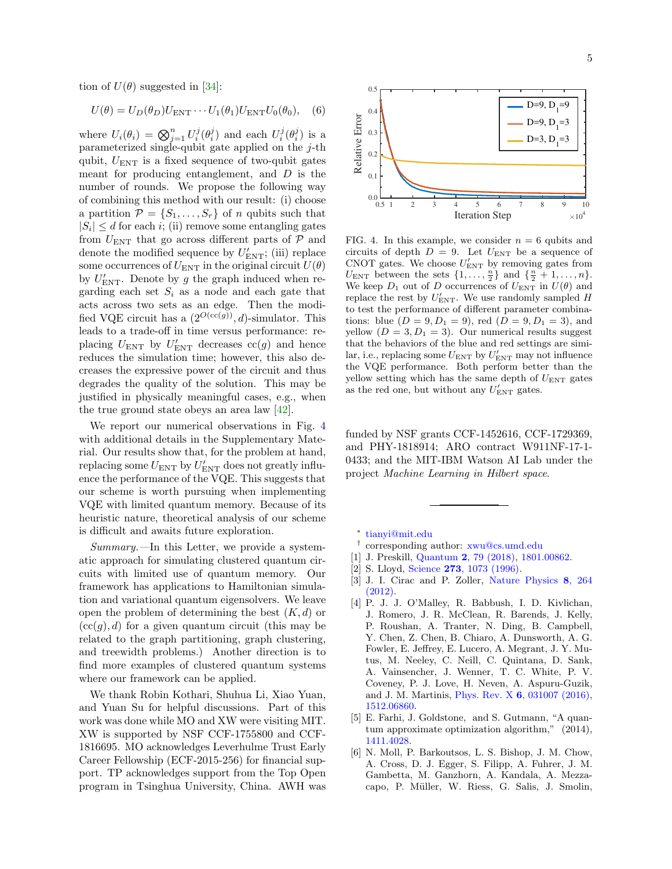tion of  $U(\theta)$  suggested in [\[34\]](#page-5-16):

$$
U(\theta) = U_D(\theta_D) U_{\text{ENT}} \cdots U_1(\theta_1) U_{\text{ENT}} U_0(\theta_0), \quad (6)
$$

where  $U_i(\theta_i) = \bigotimes_{j=1}^n U_i^j(\theta_i^j)$  and each  $U_i^j(\theta_i^j)$  is a parameterized single-qubit gate applied on the  $j$ -th qubit,  $U_{\text{ENT}}$  is a fixed sequence of two-qubit gates meant for producing entanglement, and  $D$  is the number of rounds. We propose the following way of combining this method with our result: (i) choose a partition  $\mathcal{P} = \{S_1, \ldots, S_r\}$  of *n* qubits such that  $|S_i| \leq d$  for each i; (ii) remove some entangling gates from  $U_{\text{ENT}}$  that go across different parts of  $\mathcal P$  and denote the modified sequence by  $U'_{\text{ENT}}$ ; (iii) replace some occurrences of  $U_{\text{ENT}}$  in the original circuit  $U(\theta)$ by  $U'_{\rm ENT}$ . Denote by g the graph induced when regarding each set  $S_i$  as a node and each gate that acts across two sets as an edge. Then the modified VQE circuit has a  $(2^{O(\text{cc}(g))}, d)$ -simulator. This leads to a trade-off in time versus performance: replacing  $U_{\text{ENT}}$  by  $U'_{\text{ENT}}$  decreases  $cc(g)$  and hence reduces the simulation time; however, this also decreases the expressive power of the circuit and thus degrades the quality of the solution. This may be justified in physically meaningful cases, e.g., when the true ground state obeys an area law [\[42\]](#page-5-24).

We report our numerical observations in Fig. [4](#page-4-7) with additional details in the Supplementary Material. Our results show that, for the problem at hand, replacing some  $U_{\text{ENT}}$  by  $U'_{\text{ENT}}$  does not greatly influence the performance of the VQE. This suggests that our scheme is worth pursuing when implementing VQE with limited quantum memory. Because of its heuristic nature, theoretical analysis of our scheme is difficult and awaits future exploration.

 $Summary.$ —In this Letter, we provide a systematic approach for simulating clustered quantum circuits with limited use of quantum memory. Our framework has applications to Hamiltonian simulation and variational quantum eigensolvers. We leave open the problem of determining the best  $(K, d)$  or  $(cc(g), d)$  for a given quantum circuit (this may be related to the graph partitioning, graph clustering, and treewidth problems.) Another direction is to find more examples of clustered quantum systems where our framework can be applied.

We thank Robin Kothari, Shuhua Li, Xiao Yuan, and Yuan Su for helpful discussions. Part of this work was done while MO and XW were visiting MIT. XW is supported by NSF CCF-1755800 and CCF-1816695. MO acknowledges Leverhulme Trust Early Career Fellowship (ECF-2015-256) for financial support. TP acknowledges support from the Top Open program in Tsinghua University, China. AWH was



<span id="page-4-7"></span>FIG. 4. In this example, we consider  $n = 6$  qubits and circuits of depth  $D = 9$ . Let  $U_{\text{ENT}}$  be a sequence of CNOT gates. We choose  $U'_{\text{ENT}}$  by removing gates from  $U_{\text{ENT}}$  between the sets  $\{1, \ldots, \frac{n}{2}\}$  and  $\{\frac{n}{2} + 1, \ldots, n\}.$ We keep  $D_1$  out of D occurrences of  $U_{\text{ENT}}$  in  $U(\theta)$  and replace the rest by  $U'_{\text{ENT}}$ . We use randomly sampled H to test the performance of different parameter combinations: blue  $(D = 9, D_1 = 9)$ , red  $(D = 9, D_1 = 3)$ , and yellow  $(D = 3, D_1 = 3)$ . Our numerical results suggest that the behaviors of the blue and red settings are similar, i.e., replacing some  $U_{\text{ENT}}$  by  $U'_{\text{ENT}}$  may not influence the VQE performance. Both perform better than the yellow setting which has the same depth of  $U_{\text{ENT}}$  gates as the red one, but without any  $U'_{\rm ENT}$  gates.

funded by NSF grants CCF-1452616, CCF-1729369, and PHY-1818914; ARO contract W911NF-17-1- 0433; and the MIT-IBM Watson AI Lab under the project Machine Learning in Hilbert space.

<span id="page-4-0"></span>∗ [tianyi@mit.edu](mailto:tianyi@mit.edu)

- <span id="page-4-1"></span>† corresponding author: [xwu@cs.umd.edu](mailto:xwu@cs.umd.edu)
- <span id="page-4-2"></span>[1] J. Preskill, Quantum 2[, 79 \(2018\),](http://dx.doi.org/10.22331/q-2018-08-06-79) [1801.00862.](http://arxiv.org/abs/1801.00862)
- <span id="page-4-3"></span>[2] S. Lloyd, Science **273**[, 1073 \(1996\).](https://www.jstor.org/stable/2899535)
- [3] J. I. Cirac and P. Zoller, [Nature Physics](http://dx.doi.org/10.1038/nphys2275) 8, 264 [\(2012\).](http://dx.doi.org/10.1038/nphys2275)
- <span id="page-4-4"></span>[4] P. J. J. O'Malley, R. Babbush, I. D. Kivlichan, J. Romero, J. R. McClean, R. Barends, J. Kelly, P. Roushan, A. Tranter, N. Ding, B. Campbell, Y. Chen, Z. Chen, B. Chiaro, A. Dunsworth, A. G. Fowler, E. Jeffrey, E. Lucero, A. Megrant, J. Y. Mutus, M. Neeley, C. Neill, C. Quintana, D. Sank, A. Vainsencher, J. Wenner, T. C. White, P. V. Coveney, P. J. Love, H. Neven, A. Aspuru-Guzik, and J. M. Martinis, Phys. Rev. X 6[, 031007 \(2016\),](http://dx.doi.org/ 10.1103/PhysRevX.6.031007) [1512.06860.](http://arxiv.org/abs/1512.06860)
- <span id="page-4-5"></span>[5] E. Farhi, J. Goldstone, and S. Gutmann, "A quantum approximate optimization algorithm," (2014), [1411.4028.](http://arxiv.org/abs/1411.4028)
- <span id="page-4-6"></span>[6] N. Moll, P. Barkoutsos, L. S. Bishop, J. M. Chow, A. Cross, D. J. Egger, S. Filipp, A. Fuhrer, J. M. Gambetta, M. Ganzhorn, A. Kandala, A. Mezzacapo, P. M¨uller, W. Riess, G. Salis, J. Smolin,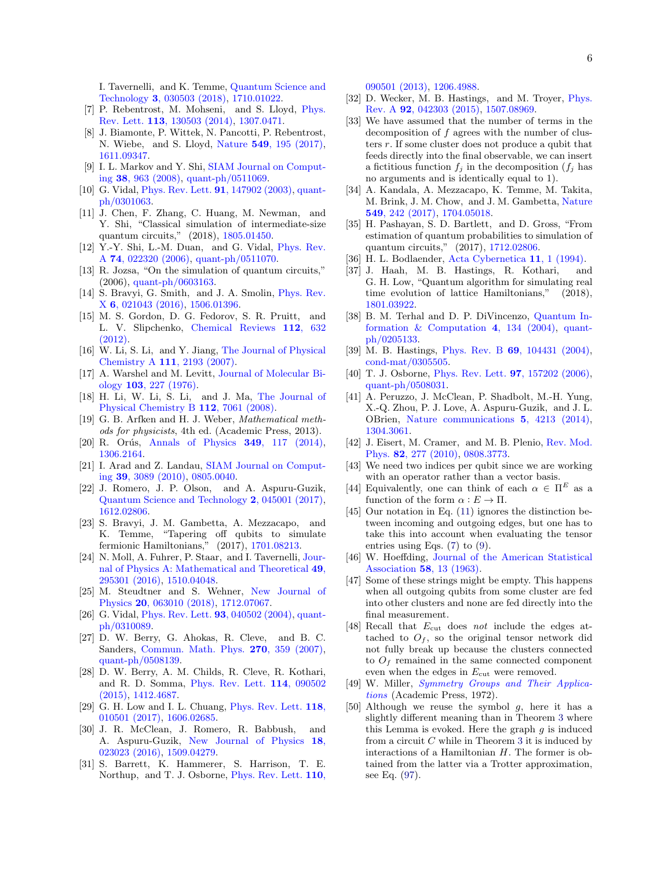I. Tavernelli, and K. Temme, [Quantum Science and](http://dx.doi.org/10.1088/2058-9565/aab822) Technology 3[, 030503 \(2018\),](http://dx.doi.org/10.1088/2058-9565/aab822) [1710.01022.](http://arxiv.org/abs/1710.01022)

- <span id="page-5-0"></span>[7] P. Rebentrost, M. Mohseni, and S. Lloyd, [Phys.](http://dx.doi.org/10.1103/PhysRevLett.113.130503) Rev. Lett. 113[, 130503 \(2014\),](http://dx.doi.org/10.1103/PhysRevLett.113.130503) [1307.0471.](http://arxiv.org/abs/1307.0471)
- <span id="page-5-1"></span>[8] J. Biamonte, P. Wittek, N. Pancotti, P. Rebentrost, N. Wiebe, and S. Lloyd, Nature 549[, 195 \(2017\),](http://dx.doi.org/ 10.1038/nature23474) [1611.09347.](http://arxiv.org/abs/1611.09347)
- <span id="page-5-2"></span>[9] I. L. Markov and Y. Shi, [SIAM Journal on Comput](http://dx.doi.org/10.1137/050644756)ing 38[, 963 \(2008\),](http://dx.doi.org/10.1137/050644756) [quant-ph/0511069.](http://arxiv.org/abs/quant-ph/0511069)
- <span id="page-5-25"></span>[10] G. Vidal, [Phys. Rev. Lett.](http://dx.doi.org/10.1103/PhysRevLett.91.147902) 91, 147902 (2003), [quant](http://arxiv.org/abs/quant-ph/0301063)[ph/0301063.](http://arxiv.org/abs/quant-ph/0301063)
- [11] J. Chen, F. Zhang, C. Huang, M. Newman, and Y. Shi, "Classical simulation of intermediate-size quantum circuits," (2018), [1805.01450.](http://arxiv.org/abs/1805.01450)
- <span id="page-5-26"></span>[12] Y.-Y. Shi, L.-M. Duan, and G. Vidal, [Phys. Rev.](http://dx.doi.org/10.1103/PhysRevA.74.022320) A 74[, 022320 \(2006\),](http://dx.doi.org/10.1103/PhysRevA.74.022320) [quant-ph/0511070.](http://arxiv.org/abs/quant-ph/0511070)
- <span id="page-5-3"></span>[13] R. Jozsa, "On the simulation of quantum circuits," (2006), [quant-ph/0603163.](http://arxiv.org/abs/quant-ph/0603163)
- <span id="page-5-4"></span>[14] S. Bravyi, G. Smith, and J. A. Smolin, *[Phys. Rev.](http://dx.doi.org/10.1103/PhysRevX.6.021043)* X 6[, 021043 \(2016\),](http://dx.doi.org/10.1103/PhysRevX.6.021043) [1506.01396.](http://arxiv.org/abs/1506.01396)
- <span id="page-5-5"></span>[15] M. S. Gordon, D. G. Fedorov, S. R. Pruitt, and L. V. Slipchenko, [Chemical Reviews](http://dx.doi.org/10.1021/cr200093j) 112, 632 [\(2012\).](http://dx.doi.org/10.1021/cr200093j)
- [16] W. Li, S. Li, and Y. Jiang, [The Journal of Physical](http://dx.doi.org/10.1021/jp067721q) Chemistry A 111[, 2193 \(2007\).](http://dx.doi.org/10.1021/jp067721q)
- [17] A. Warshel and M. Levitt, [Journal of Molecular Bi](http://dx.doi.org/10.1016/0022-2836(76)90311-9)ology 103[, 227 \(1976\).](http://dx.doi.org/10.1016/0022-2836(76)90311-9)
- <span id="page-5-6"></span>[18] H. Li, W. Li, S. Li, and J. Ma, [The Journal of](http://dx.doi.org/10.1021/jp800777e) [Physical Chemistry B](http://dx.doi.org/10.1021/jp800777e) 112, 7061 (2008).
- <span id="page-5-7"></span>[19] G. B. Arfken and H. J. Weber, Mathematical methods for physicists, 4th ed. (Academic Press, 2013).
- [20] R. Orús, [Annals of Physics](http://dx.doi.org/10.1016/j.aop.2014.06.013) **349**, 117 (2014), [1306.2164.](http://arxiv.org/abs/1306.2164)
- <span id="page-5-8"></span>[21] I. Arad and Z. Landau, [SIAM Journal on Comput](http://dx.doi.org/10.1137/080739379)ing 39[, 3089 \(2010\),](http://dx.doi.org/10.1137/080739379) [0805.0040.](http://arxiv.org/abs/0805.0040)
- <span id="page-5-9"></span>[22] J. Romero, J. P. Olson, and A. Aspuru-Guzik, [Quantum Science and Technology](http://dx.doi.org/10.1088/2058-9565/aa8072) 2, 045001 (2017), [1612.02806.](http://arxiv.org/abs/1612.02806)
- [23] S. Bravyi, J. M. Gambetta, A. Mezzacapo, and K. Temme, "Tapering off qubits to simulate fermionic Hamiltonians," (2017), [1701.08213.](http://arxiv.org/abs/1701.08213)
- [24] N. Moll, A. Fuhrer, P. Staar, and I. Tavernelli, [Jour](http://dx.doi.org/ 10.1088/1751-8113/49/29/295301)[nal of Physics A: Mathematical and Theoretical](http://dx.doi.org/ 10.1088/1751-8113/49/29/295301) 49, [295301 \(2016\),](http://dx.doi.org/ 10.1088/1751-8113/49/29/295301) [1510.04048.](http://arxiv.org/abs/1510.04048)
- <span id="page-5-10"></span>[25] M. Steudtner and S. Wehner, [New Journal of](http://dx.doi.org/10.1088/1367-2630/aac54f) Physics 20[, 063010 \(2018\),](http://dx.doi.org/10.1088/1367-2630/aac54f) [1712.07067.](http://arxiv.org/abs/1712.07067)
- <span id="page-5-11"></span>[26] G. Vidal, [Phys. Rev. Lett.](http://dx.doi.org/10.1103/PhysRevLett.93.040502) **93**, 040502 (2004), [quant](http://arxiv.org/abs/quant-ph/0310089)[ph/0310089.](http://arxiv.org/abs/quant-ph/0310089)
- [27] D. W. Berry, G. Ahokas, R. Cleve, and B. C. Sanders, [Commun. Math. Phys.](http://dx.doi.org/ 10.1007/s00220-006-0150-x) 270, 359 (2007), [quant-ph/0508139.](http://arxiv.org/abs/quant-ph/0508139)
- [28] D. W. Berry, A. M. Childs, R. Cleve, R. Kothari, and R. D. Somma, [Phys. Rev. Lett.](http://dx.doi.org/ 10.1103/PhysRevLett.114.090502) 114, 090502 [\(2015\),](http://dx.doi.org/ 10.1103/PhysRevLett.114.090502) [1412.4687.](http://arxiv.org/abs/1412.4687)
- <span id="page-5-12"></span>[29] G. H. Low and I. L. Chuang, [Phys. Rev. Lett.](http://dx.doi.org/10.1103/PhysRevLett.118.010501) 118, [010501 \(2017\),](http://dx.doi.org/10.1103/PhysRevLett.118.010501) [1606.02685.](http://arxiv.org/abs/1606.02685)
- <span id="page-5-13"></span>[30] J. R. McClean, J. Romero, R. Babbush, and A. Aspuru-Guzik, [New Journal of Physics](http://dx.doi.org/10.1088/1367-2630/18/2/023023) 18, [023023 \(2016\),](http://dx.doi.org/10.1088/1367-2630/18/2/023023) [1509.04279.](http://arxiv.org/abs/1509.04279)
- [31] S. Barrett, K. Hammerer, S. Harrison, T. E. Northup, and T. J. Osborne, [Phys. Rev. Lett.](http://dx.doi.org/ 10.1103/PhysRevLett.110.090501) **110**,

[090501 \(2013\),](http://dx.doi.org/ 10.1103/PhysRevLett.110.090501) [1206.4988.](http://arxiv.org/abs/1206.4988)

- <span id="page-5-14"></span>[32] D. Wecker, M. B. Hastings, and M. Troyer, [Phys.](http://dx.doi.org/10.1103/PhysRevA.92.042303) Rev. A 92[, 042303 \(2015\),](http://dx.doi.org/10.1103/PhysRevA.92.042303) [1507.08969.](http://arxiv.org/abs/1507.08969)
- <span id="page-5-15"></span>[33] We have assumed that the number of terms in the decomposition of  $f$  agrees with the number of clusters r. If some cluster does not produce a qubit that feeds directly into the final observable, we can insert a fictitious function  $f_j$  in the decomposition  $(f_j)$  has no arguments and is identically equal to 1).
- <span id="page-5-16"></span>[34] A. Kandala, A. Mezzacapo, K. Temme, M. Takita, M. Brink, J. M. Chow, and J. M. Gambetta, [Nature](http://dx.doi.org/10.1038/nature23879) 549[, 242 \(2017\),](http://dx.doi.org/10.1038/nature23879) [1704.05018.](http://arxiv.org/abs/1704.05018)
- <span id="page-5-17"></span>[35] H. Pashayan, S. D. Bartlett, and D. Gross, "From estimation of quantum probabilities to simulation of quantum circuits," (2017), [1712.02806.](http://arxiv.org/abs/1712.02806)
- <span id="page-5-18"></span>[36] H. L. Bodlaender, [Acta Cybernetica](https://dspace.library.uu.nl/handle/1874/2301) 11, 1 (1994).
- <span id="page-5-19"></span>[37] J. Haah, M. B. Hastings, R. Kothari, and G. H. Low, "Quantum algorithm for simulating real time evolution of lattice Hamiltonians," (2018), [1801.03922.](http://arxiv.org/abs/1801.03922)
- <span id="page-5-20"></span>[38] B. M. Terhal and D. P. DiVincenzo, [Quantum In](http://dx.doi.org/10.26421/QIC4.2)formation  $\&$  Computation 4, 134 (2004), [quant](http://arxiv.org/abs/quant-ph/0205133)[ph/0205133.](http://arxiv.org/abs/quant-ph/0205133)
- <span id="page-5-21"></span>[39] M. B. Hastings, Phys. Rev. B 69[, 104431 \(2004\),](http://dx.doi.org/10.1103/PhysRevB.69.104431) [cond-mat/0305505.](http://arxiv.org/abs/cond-mat/0305505)
- <span id="page-5-22"></span>[40] T. J. Osborne, [Phys. Rev. Lett.](http://dx.doi.org/10.1103/PhysRevLett.97.157202) **97**, 157202 (2006), [quant-ph/0508031.](http://arxiv.org/abs/quant-ph/0508031)
- <span id="page-5-23"></span>[41] A. Peruzzo, J. McClean, P. Shadbolt, M.-H. Yung, X.-Q. Zhou, P. J. Love, A. Aspuru-Guzik, and J. L. OBrien, [Nature communications](http://dx.doi.org/ 10.1038/ncomms5213) 5, 4213 (2014), [1304.3061.](http://arxiv.org/abs/1304.3061)
- <span id="page-5-24"></span>[42] J. Eisert, M. Cramer, and M. B. Plenio, [Rev. Mod.](http://dx.doi.org/10.1103/RevModPhys.82.277) Phys. 82[, 277 \(2010\),](http://dx.doi.org/10.1103/RevModPhys.82.277) [0808.3773.](http://arxiv.org/abs/0808.3773)
- <span id="page-5-27"></span>[43] We need two indices per qubit since we are working with an operator rather than a vector basis.
- <span id="page-5-28"></span>[44] Equivalently, one can think of each  $\alpha \in \Pi^E$  as a function of the form  $\alpha : E \to \Pi$ .
- <span id="page-5-29"></span>[45] Our notation in Eq. [\(11\)](#page-6-0) ignores the distinction between incoming and outgoing edges, but one has to take this into account when evaluating the tensor entries using Eqs. [\(7\)](#page-6-1) to [\(9\)](#page-6-2).
- <span id="page-5-30"></span>[46] W. Hoeffding, [Journal of the American Statistical](http://dx.doi.org/10.2307/2282952) [Association](http://dx.doi.org/10.2307/2282952) 58, 13 (1963).
- <span id="page-5-31"></span>[47] Some of these strings might be empty. This happens when all outgoing qubits from some cluster are fed into other clusters and none are fed directly into the final measurement.
- <span id="page-5-32"></span>[48] Recall that  $E_{\text{cut}}$  does not include the edges attached to  $O_f$ , so the original tensor network did not fully break up because the clusters connected to  $O<sub>f</sub>$  remained in the same connected component even when the edges in  $E_{\text{cut}}$  were removed.
- <span id="page-5-33"></span>[49] W. Miller, [Symmetry Groups and Their Applica](https://books.google.com/books?id=rW7-eLDdVm0C&pg=PA160)[tions](https://books.google.com/books?id=rW7-eLDdVm0C&pg=PA160) (Academic Press, 1972).
- <span id="page-5-34"></span>[50] Although we reuse the symbol  $g$ , here it has a slightly different meaning than in Theorem [3](#page-3-3) where this Lemma is evoked. Here the graph  $g$  is induced from a circuit  $C$  while in Theorem [3](#page-3-3) it is induced by interactions of a Hamiltonian H. The former is obtained from the latter via a Trotter approximation, see Eq. [\(97\)](#page-13-0).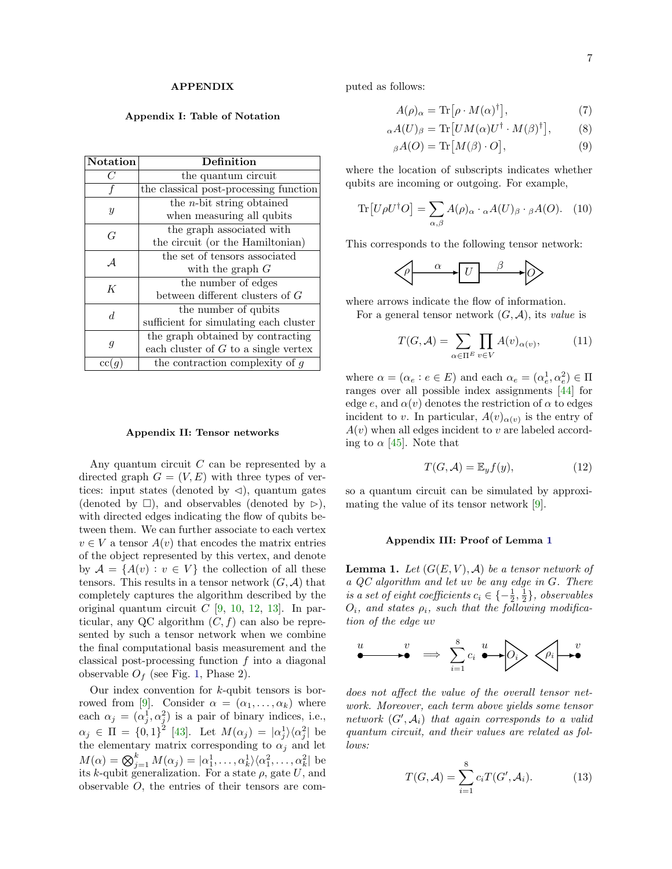## APPENDIX

## Appendix I: Table of Notation

| <b>Notation</b> | Definition                             |
|-----------------|----------------------------------------|
| C               | the quantum circuit                    |
|                 | the classical post-processing function |
| $\mathcal{Y}$   | the $n$ -bit string obtained           |
|                 | when measuring all qubits              |
| G               | the graph associated with              |
|                 | the circuit (or the Hamiltonian)       |
| $\overline{A}$  | the set of tensors associated          |
|                 | with the graph $G$                     |
| K               | the number of edges                    |
|                 | between different clusters of G        |
| d               | the number of qubits                   |
|                 | sufficient for simulating each cluster |
| g               | the graph obtained by contracting      |
|                 | each cluster of $G$ to a single vertex |
| $_{\rm cc}$     | the contraction complexity of $g$      |

### Appendix II: Tensor networks

Any quantum circuit  $C$  can be represented by a directed graph  $G = (V, E)$  with three types of vertices: input states (denoted by  $\triangleleft$ ), quantum gates (denoted by  $\square$ ), and observables (denoted by  $\rhd$ ), with directed edges indicating the flow of qubits between them. We can further associate to each vertex  $v \in V$  a tensor  $A(v)$  that encodes the matrix entries of the object represented by this vertex, and denote by  $\mathcal{A} = \{A(v) : v \in V\}$  the collection of all these tensors. This results in a tensor network  $(G, \mathcal{A})$  that completely captures the algorithm described by the original quantum circuit  $C$  [\[9,](#page-5-2) [10,](#page-5-25) [12,](#page-5-26) [13\]](#page-5-3). In particular, any QC algorithm  $(C, f)$  can also be represented by such a tensor network when we combine the final computational basis measurement and the classical post-processing function  $f$  into a diagonal observable  $O<sub>f</sub>$  (see Fig. [1,](#page-2-0) Phase 2).

Our index convention for  $k$ -qubit tensors is bor-rowed from [\[9\]](#page-5-2). Consider  $\alpha = (\alpha_1, \ldots, \alpha_k)$  where each  $\alpha_j = (\alpha_j^1, \alpha_j^2)$  is a pair of binary indices, i.e.,  $\alpha_j \in \Pi = \{0,1\}^2$  [\[43\]](#page-5-27). Let  $M(\alpha_j) = |\alpha_j^1\rangle\langle\alpha_j^2|$  be the elementary matrix corresponding to  $\alpha_j$  and let  $M(\alpha) = \bigotimes_{j=1}^{k} M(\alpha_j) = |\alpha_1^1, \ldots, \alpha_k^1\rangle \langle \alpha_1^2, \ldots, \alpha_k^2|$  be its k-qubit generalization. For a state  $\rho$ , gate U, and observable O, the entries of their tensors are computed as follows:

<span id="page-6-2"></span><span id="page-6-1"></span>
$$
A(\rho)_{\alpha} = \text{Tr}\left[\rho \cdot M(\alpha)^{\dagger}\right],\tag{7}
$$

$$
{}_{\alpha}A(U)_{\beta} = \text{Tr}\left[UM(\alpha)U^{\dagger} \cdot M(\beta)^{\dagger}\right],\tag{8}
$$

$$
{}_{\beta}A(O) = \text{Tr}\left[M(\beta) \cdot O\right],\tag{9}
$$

where the location of subscripts indicates whether qubits are incoming or outgoing. For example,

$$
\text{Tr}\left[U\rho U^{\dagger}O\right] = \sum_{\alpha,\beta} A(\rho)_{\alpha} \cdot {_{\alpha}A(U)_{\beta}} \cdot {_{\beta}A(O)}.
$$
 (10)

This corresponds to the following tensor network:

$$
\left\langle \rho \right\rangle \xrightarrow{\alpha} U \xrightarrow{\beta} \rho
$$

where arrows indicate the flow of information.

For a general tensor network  $(G, \mathcal{A})$ , its value is

<span id="page-6-0"></span>
$$
T(G, \mathcal{A}) = \sum_{\alpha \in \Pi^E} \prod_{v \in V} A(v)_{\alpha(v)},\tag{11}
$$

where  $\alpha = (\alpha_e : e \in E)$  and each  $\alpha_e = (\alpha_e^1, \alpha_e^2) \in \Pi$ ranges over all possible index assignments [\[44\]](#page-5-28) for edge e, and  $\alpha(v)$  denotes the restriction of  $\alpha$  to edges incident to v. In particular,  $A(v)_{\alpha(v)}$  is the entry of  $A(v)$  when all edges incident to v are labeled according to  $\alpha$  [\[45\]](#page-5-29). Note that

<span id="page-6-3"></span>
$$
T(G, \mathcal{A}) = \mathbb{E}_y f(y), \tag{12}
$$

so a quantum circuit can be simulated by approximating the value of its tensor network [\[9\]](#page-5-2).

### Appendix III: Proof of Lemma [1](#page-1-1)

**Lemma 1.** Let  $(G(E, V), A)$  be a tensor network of a QC algorithm and let uv be any edge in G. There is a set of eight coefficients  $c_i \in \{-\frac{1}{2},\frac{1}{2}\}\$ , observables  $O_i$ , and states  $\rho_i$ , such that the following modification of the edge uv

$$
\overset{u}{\bullet} \qquad \overset{v}{\bullet} \qquad \Rightarrow \qquad \sum_{i=1}^{8} c_i \overset{u}{\bullet} \qquad \qquad \overset{v}{\bullet} \qquad \qquad \downarrow \overset{v}{\bullet}
$$

does not affect the value of the overall tensor network. Moreover, each term above yields some tensor network  $(G', A_i)$  that again corresponds to a valid quantum circuit, and their values are related as follows:

$$
T(G,\mathcal{A}) = \sum_{i=1}^{8} c_i T(G',\mathcal{A}_i). \tag{13}
$$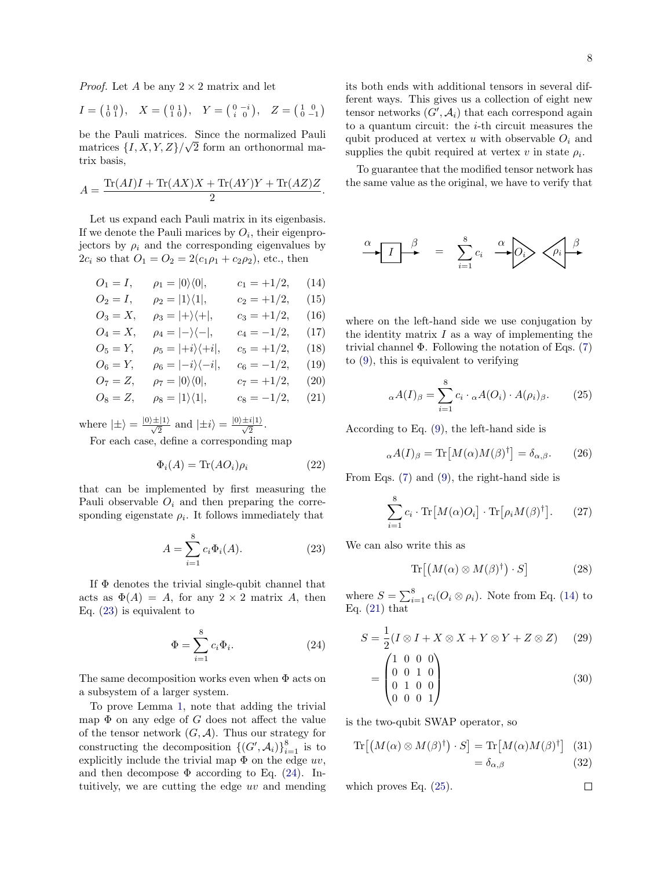*Proof.* Let A be any  $2 \times 2$  matrix and let

$$
I = \begin{pmatrix} 1 & 0 \\ 0 & 1 \end{pmatrix}, \quad X = \begin{pmatrix} 0 & 1 \\ 1 & 0 \end{pmatrix}, \quad Y = \begin{pmatrix} 0 & -i \\ i & 0 \end{pmatrix}, \quad Z = \begin{pmatrix} 1 & 0 \\ 0 & -1 \end{pmatrix}
$$

be the Pauli matrices. Since the normalized Pauli matrices  $\{I, X, Y, Z\}/\sqrt{2}$  form an orthonormal matrix basis,

$$
A = \frac{\text{Tr}(AI)I + \text{Tr}(AX)X + \text{Tr}(AY)Y + \text{Tr}(AZ)Z}{2}.
$$

Let us expand each Pauli matrix in its eigenbasis. If we denote the Pauli marices by  $O_i$ , their eigenprojectors by  $\rho_i$  and the corresponding eigenvalues by  $2c_i$  so that  $O_1 = O_2 = 2(c_1\rho_1 + c_2\rho_2)$ , etc., then

$$
O_1 = I, \t\rho_1 = |0\rangle\langle 0|, \t c_1 = +1/2, \t (14)
$$
  
\n
$$
O_2 = I, \t\rho_2 = |1\rangle\langle 1|, \t c_2 = +1/2, \t (15)
$$
  
\n
$$
O_3 = X, \t\rho_3 = |+\rangle\langle +|, \t c_3 = +1/2, \t (16)
$$
  
\n
$$
O_4 = X, \t\rho_4 = |-\rangle\langle -|, \t c_4 = -1/2, \t (17)
$$
  
\n
$$
O_5 = Y, \t\rho_5 = |+i\rangle\langle +i|, \t c_5 = +1/2, \t (18)
$$
  
\n
$$
O_6 = Y, \t\rho_6 = |-i\rangle\langle -i|, \t c_6 = -1/2, \t (19)
$$
  
\n
$$
O_7 = Z, \t\rho_7 = |0\rangle\langle 0|, \t c_7 = +1/2, \t (20)
$$
  
\n
$$
O_8 = Z, \t\rho_8 = |1\rangle\langle 1|, \t c_8 = -1/2, \t (21)
$$

where  $|\pm\rangle = \frac{|0\rangle \pm |1\rangle}{\sqrt{2}}$  and  $|\pm i\rangle = \frac{|0\rangle \pm i|1\rangle}{\sqrt{2}}$ .

For each case, define a corresponding map

$$
\Phi_i(A) = \text{Tr}(AO_i)\rho_i \tag{22}
$$

that can be implemented by first measuring the Pauli observable  $O_i$  and then preparing the corresponding eigenstate  $\rho_i$ . It follows immediately that

<span id="page-7-0"></span>
$$
A = \sum_{i=1}^{8} c_i \Phi_i(A).
$$
 (23)

If  $\Phi$  denotes the trivial single-qubit channel that acts as  $\Phi(A) = A$ , for any  $2 \times 2$  matrix A, then Eq. [\(23\)](#page-7-0) is equivalent to

<span id="page-7-1"></span>
$$
\Phi = \sum_{i=1}^{8} c_i \Phi_i.
$$
\n(24)

The same decomposition works even when Φ acts on a subsystem of a larger system.

To prove Lemma [1,](#page-1-1) note that adding the trivial map  $\Phi$  on any edge of G does not affect the value of the tensor network  $(G, \mathcal{A})$ . Thus our strategy for constructing the decomposition  $\{(G', A_i)\}_{i=1}^8$  is to explicitly include the trivial map  $\Phi$  on the edge  $uv$ , and then decompose  $\Phi$  according to Eq. [\(24\)](#page-7-1). Intuitively, we are cutting the edge uv and mending its both ends with additional tensors in several different ways. This gives us a collection of eight new tensor networks  $(G', A_i)$  that each correspond again to a quantum circuit: the  $i$ -th circuit measures the qubit produced at vertex u with observable  $O_i$  and supplies the qubit required at vertex  $v$  in state  $\rho_i$ .

To guarantee that the modified tensor network has the same value as the original, we have to verify that

$$
\alpha \qquad I \qquad \beta \qquad = \qquad \sum_{i=1}^{8} c_i \qquad \alpha \qquad O_i \qquad \beta
$$

<span id="page-7-2"></span>where on the left-hand side we use conjugation by the identity matrix  $I$  as a way of implementing the trivial channel  $\Phi$ . Following the notation of Eqs. [\(7\)](#page-6-1) to [\(9\)](#page-6-2), this is equivalent to verifying

<span id="page-7-4"></span>
$$
{}_{\alpha}A(I)_{\beta} = \sum_{i=1}^{8} c_i \cdot {}_{\alpha}A(O_i) \cdot A(\rho_i)_{\beta}.
$$
 (25)

<span id="page-7-3"></span>According to Eq. [\(9\)](#page-6-2), the left-hand side is

$$
{}_{\alpha}A(I)_{\beta} = \text{Tr}\left[M(\alpha)M(\beta)^{\dagger}\right] = \delta_{\alpha,\beta}.
$$
 (26)

From Eqs. [\(7\)](#page-6-1) and [\(9\)](#page-6-2), the right-hand side is

$$
\sum_{i=1}^{8} c_i \cdot \text{Tr}\big[M(\alpha)O_i\big] \cdot \text{Tr}\big[\rho_i M(\beta)^{\dagger}\big].\tag{27}
$$

We can also write this as

$$
\operatorname{Tr}\left[\left(M(\alpha)\otimes M(\beta)^{\dagger}\right)\cdot S\right]
$$
 (28)

where  $S = \sum_{i=1}^{8} c_i (O_i \otimes \rho_i)$ . Note from Eq. [\(14\)](#page-7-2) to Eq.  $(21)$  that

$$
S = \frac{1}{2}(I \otimes I + X \otimes X + Y \otimes Y + Z \otimes Z)
$$
 (29)  
= 
$$
\begin{pmatrix} 1 & 0 & 0 & 0 \\ 0 & 0 & 1 & 0 \\ 0 & 1 & 0 & 0 \\ 0 & 0 & 0 & 1 \end{pmatrix}
$$
 (30)

is the two-qubit SWAP operator, so

$$
\operatorname{Tr}[(M(\alpha) \otimes M(\beta)^{\dagger}) \cdot S] = \operatorname{Tr}[M(\alpha)M(\beta)^{\dagger}] \quad (31)
$$

$$
= \delta_{\alpha,\beta} \quad (32)
$$

 $\Box$ 

which proves Eq. [\(25\)](#page-7-4).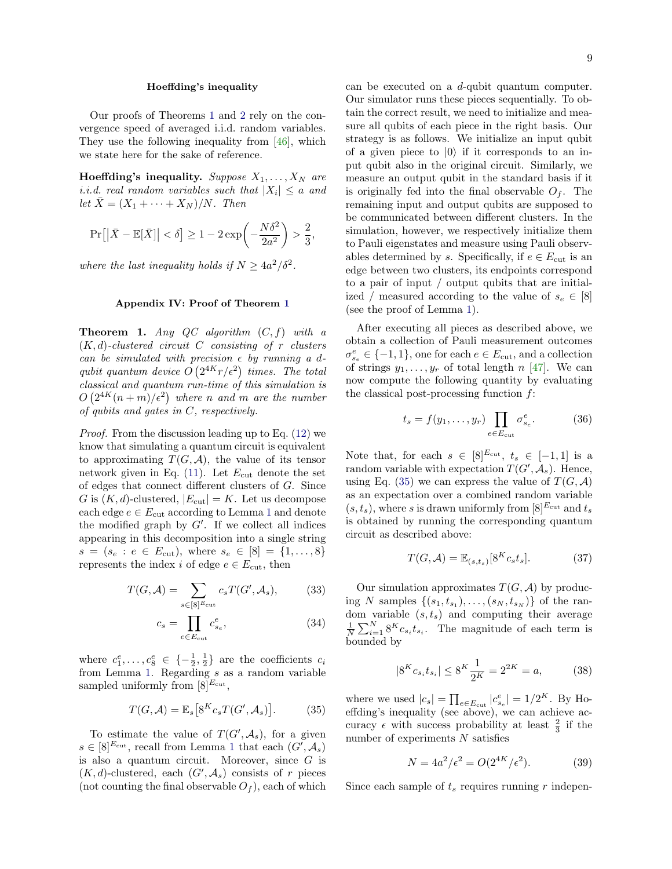## Hoeffding's inequality

Our proofs of Theorems [1](#page-2-2) and [2](#page-3-0) rely on the convergence speed of averaged i.i.d. random variables. They use the following inequality from [\[46\]](#page-5-30), which we state here for the sake of reference.

**Hoeffding's inequality.** Suppose  $X_1, \ldots, X_N$  are *i.i.d.* real random variables such that  $|X_i| \le a$  and let  $\bar{X} = (X_1 + \cdots + X_N)/N$ . Then

$$
\Pr\big[ \big| \bar{X} - \mathbb{E}[\bar{X}] \big| < \delta \big] \ge 1 - 2 \exp\biggl( - \frac{N \delta^2}{2a^2} \biggr) > \frac{2}{3},
$$

where the last inequality holds if  $N \geq 4a^2/\delta^2$ .

#### Appendix IV: Proof of Theorem [1](#page-2-2)

**Theorem 1.** Any QC algorithm  $(C, f)$  with a  $(K, d)$ -clustered circuit C consisting of r clusters can be simulated with precision  $\epsilon$  by running a dqubit quantum device  $O(2^{4K}r/\epsilon^2)$  times. The total classical and quantum run-time of this simulation is  $O(2^{4K}(n+m)/\epsilon^2)$  where n and m are the number of qubits and gates in C, respectively.

Proof. From the discussion leading up to Eq. [\(12\)](#page-6-3) we know that simulating a quantum circuit is equivalent to approximating  $T(G, \mathcal{A})$ , the value of its tensor network given in Eq.  $(11)$ . Let  $E_{\text{cut}}$  denote the set of edges that connect different clusters of G. Since G is  $(K, d)$ -clustered,  $|E_{\text{cut}}| = K$ . Let us decompose each edge  $e \in E_{\text{cut}}$  according to Lemma [1](#page-1-1) and denote the modified graph by  $G'$ . If we collect all indices appearing in this decomposition into a single string  $s = (s_e : e \in E_{\text{cut}}), \text{ where } s_e \in [8] = \{1, \ldots, 8\}$ represents the index i of edge  $e \in E_{\text{cut}}$ , then

$$
T(G,\mathcal{A}) = \sum_{s \in [8]^{E_{\text{cut}}}} c_s T(G',\mathcal{A}_s),\tag{33}
$$

$$
c_s = \prod_{e \in E_{\text{cut}}} c_{s_e}^e,\tag{34}
$$

where  $c_1^e, \ldots, c_8^e \in \{-\frac{1}{2}, \frac{1}{2}\}\$ are the coefficients  $c_i$ from Lemma [1.](#page-1-1) Regarding s as a random variable sampled uniformly from  $[8]^{E_{\text{cut}}},$ 

<span id="page-8-0"></span>
$$
T(G, \mathcal{A}) = \mathbb{E}_s \left[ 8^K c_s T(G', \mathcal{A}_s) \right]. \tag{35}
$$

To estimate the value of  $T(G', \mathcal{A}_s)$ , for a given  $s \in [8]^{E_{\text{cut}}}$  , recall from Lemma [1](#page-1-1) that each  $(G', \mathcal{A}_s)$ is also a quantum circuit. Moreover, since  $G$  is  $(K, d)$ -clustered, each  $(G', \mathcal{A}_s)$  consists of r pieces (not counting the final observable  $O_f$ ), each of which 9

can be executed on a d-qubit quantum computer. Our simulator runs these pieces sequentially. To obtain the correct result, we need to initialize and measure all qubits of each piece in the right basis. Our strategy is as follows. We initialize an input qubit of a given piece to  $|0\rangle$  if it corresponds to an input qubit also in the original circuit. Similarly, we measure an output qubit in the standard basis if it is originally fed into the final observable  $O_f$ . The remaining input and output qubits are supposed to be communicated between different clusters. In the simulation, however, we respectively initialize them to Pauli eigenstates and measure using Pauli observables determined by s. Specifically, if  $e \in E_{\text{cut}}$  is an edge between two clusters, its endpoints correspond to a pair of input / output qubits that are initialized / measured according to the value of  $s_e \in [8]$ (see the proof of Lemma [1\)](#page-1-1).

After executing all pieces as described above, we obtain a collection of Pauli measurement outcomes  $\sigma_{s_e}^e \in \{-1,1\},$  one for each  $e \in E_\text{cut},$  and a collection of strings  $y_1, \ldots, y_r$  of total length n [\[47\]](#page-5-31). We can now compute the following quantity by evaluating the classical post-processing function  $f$ :

$$
t_s = f(y_1, \dots, y_r) \prod_{e \in E_{\text{cut}}} \sigma_{s_e}^e.
$$
 (36)

Note that, for each  $s \in [8]^{E_{\text{cut}}}, t_s \in [-1,1]$  is a random variable with expectation  $T(G', \mathcal{A}_s)$ . Hence, using Eq. [\(35\)](#page-8-0) we can express the value of  $T(G, \mathcal{A})$ as an expectation over a combined random variable  $(s, t_s)$ , where s is drawn uniformly from  $[8]^{E_{\text{cut}}}$  and  $t_s$ is obtained by running the corresponding quantum circuit as described above:

$$
T(G, \mathcal{A}) = \mathbb{E}_{(s, t_s)}[8^K c_s t_s].
$$
\n(37)

<span id="page-8-2"></span><span id="page-8-1"></span>Our simulation approximates  $T(G, \mathcal{A})$  by producing N samples  $\{(s_1, t_{s_1}), \ldots, (s_N, t_{s_N})\}$  of the random variable  $(s, t_s)$  and computing their average  $\frac{1}{N} \sum_{i=1}^{N} 8^{K} c_{s_{i}} t_{s_{i}}$ . The magnitude of each term is bounded by

$$
|8^K c_{s_i} t_{s_i}| \le 8^K \frac{1}{2^K} = 2^{2K} = a,\tag{38}
$$

where we used  $|c_s| = \prod_{e \in E_{\text{cut}}} |c_{s_e}^e| = 1/2^K$ . By Hoeffding's inequality (see above), we can achieve accuracy  $\epsilon$  with success probability at least  $\frac{2}{3}$  if the number of experiments N satisfies

$$
N = 4a^2/\epsilon^2 = O(2^{4K}/\epsilon^2). \tag{39}
$$

Since each sample of  $t_s$  requires running r indepen-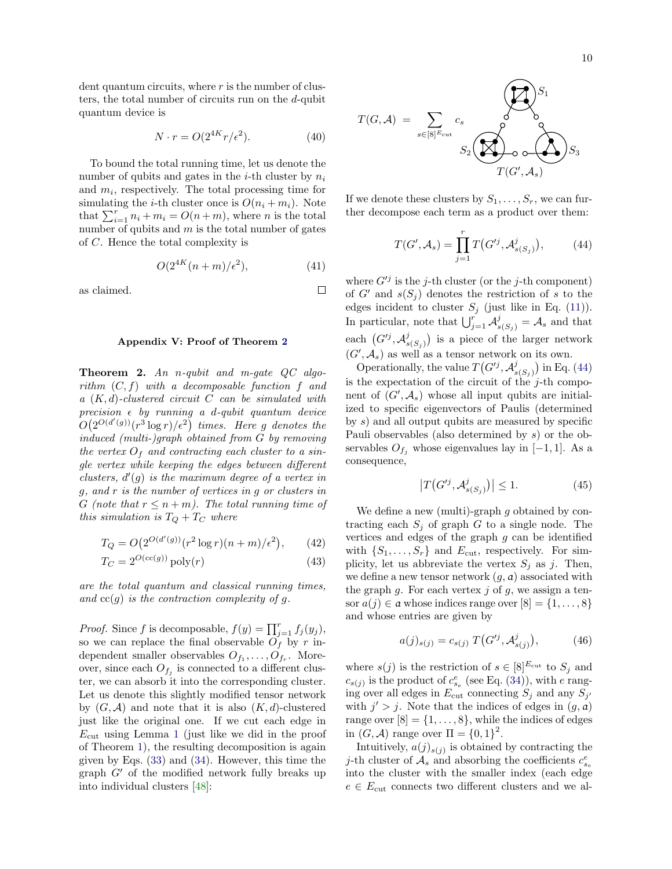dent quantum circuits, where  $r$  is the number of clusters, the total number of circuits run on the d-qubit quantum device is

$$
N \cdot r = O(2^{4K} r/\epsilon^2). \tag{40}
$$

To bound the total running time, let us denote the number of qubits and gates in the *i*-th cluster by  $n_i$ and  $m_i$ , respectively. The total processing time for simulating the *i*-th cluster once is  $O(n_i + m_i)$ . Note that  $\sum_{i=1}^{r} n_i + m_i = O(n+m)$ , where *n* is the total number of qubits and  $m$  is the total number of gates of C. Hence the total complexity is

$$
O(2^{4K}(n+m)/\epsilon^2),\tag{41}
$$

 $\Box$ 

as claimed.

### Appendix V: Proof of Theorem [2](#page-3-0)

Theorem 2. An n-qubit and m-gate QC algorithm  $(C, f)$  with a decomposable function f and a  $(K, d)$ -clustered circuit C can be simulated with precision  $\epsilon$  by running a d-qubit quantum device  $O(2^{O(d'(g))}(r^3\log r)/\epsilon^2)$  times. Here g denotes the induced (multi-)graph obtained from G by removing the vertex  $O_f$  and contracting each cluster to a single vertex while keeping the edges between different clusters,  $d'(g)$  is the maximum degree of a vertex in g, and r is the number of vertices in g or clusters in G (note that  $r \leq n+m$ ). The total running time of this simulation is  $T_Q + T_C$  where

$$
T_Q = O(2^{O(d'(g))}(r^2 \log r)(n+m)/\epsilon^2), \qquad (42)
$$

$$
T_C = 2^{O(\text{cc}(g))} \text{poly}(r) \tag{43}
$$

are the total quantum and classical running times, and  $cc(q)$  is the contraction complexity of q.

*Proof.* Since f is decomposable,  $f(y) = \prod_{j=1}^{r} f_j(y_j)$ , so we can replace the final observable  $O_f$  by r independent smaller observables  $O_{f_1}, \ldots, O_{f_r}$ . Moreover, since each  $O_{f_j}$  is connected to a different cluster, we can absorb it into the corresponding cluster. Let us denote this slightly modified tensor network by  $(G, \mathcal{A})$  and note that it is also  $(K, d)$ -clustered just like the original one. If we cut each edge in  $E<sub>cut</sub>$  using Lemma [1](#page-1-1) (just like we did in the proof of Theorem [1\)](#page-2-2), the resulting decomposition is again given by Eqs. [\(33\)](#page-8-1) and [\(34\)](#page-8-2). However, this time the graph  $G'$  of the modified network fully breaks up into individual clusters [\[48\]](#page-5-32):

$$
T(G, \mathcal{A}) = \sum_{s \in [8]^{E_{\text{cut}}}} c_s \sum_{S_2 \left(\bigtimes_{i=1}^{S_1} S_i\right) S_3} S_4
$$

If we denote these clusters by  $S_1, \ldots, S_r$ , we can further decompose each term as a product over them:

<span id="page-9-0"></span>
$$
T(G', \mathcal{A}_s) = \prod_{j=1}^r T(G'^j, \mathcal{A}_{s(S_j)}^j), \tag{44}
$$

where  $G^{ij}$  is the j-th cluster (or the j-th component) of  $G'$  and  $s(S_j)$  denotes the restriction of s to the edges incident to cluster  $S_j$  (just like in Eq. [\(11\)](#page-6-0)). In particular, note that  $\bigcup_{j=1}^r \mathcal{A}_{s(S_j)}^j = \mathcal{A}_s$  and that each  $(G^{ij}, \mathcal{A}_{\circ}^j)$  $\binom{j}{s(S_j)}$  is a piece of the larger network  $(G', \mathcal{A}_s)$  as well as a tensor network on its own.

Operationally, the value  $T(G^{ij}, \mathcal{A}_{s}^{j})$  ${s(S_j)}$  in Eq. [\(44\)](#page-9-0) is the expectation of the circuit of the  $j$ -th component of  $(G', \mathcal{A}_s)$  whose all input qubits are initialized to specific eigenvectors of Paulis (determined by s) and all output qubits are measured by specific Pauli observables (also determined by s) or the observables  $O_{f_i}$  whose eigenvalues lay in [−1, 1]. As a consequence,

<span id="page-9-2"></span>
$$
\left|T\left(G'^j,\mathcal{A}_{s(S_j)}^j\right)\right| \le 1. \tag{45}
$$

We define a new (multi)-graph  $g$  obtained by contracting each  $S_i$  of graph G to a single node. The vertices and edges of the graph  $g$  can be identified with  $\{S_1, \ldots, S_r\}$  and  $E_{\text{cut}}$ , respectively. For simplicity, let us abbreviate the vertex  $S_i$  as j. Then, we define a new tensor network  $(g, a)$  associated with the graph  $g$ . For each vertex  $j$  of  $g$ , we assign a tensor  $a(j) \in \mathfrak{a}$  whose indices range over  $[8] = \{1, \ldots, 8\}$ and whose entries are given by

<span id="page-9-1"></span>
$$
a(j)_{s(j)} = c_{s(j)} T(G^{ij}, \mathcal{A}_{s(j)}^{j}), \tag{46}
$$

where  $s(j)$  is the restriction of  $s \in [8]^{E_{\text{cut}}}$  to  $S_j$  and  $c_{s(j)}$  is the product of  $c_{s_e}^e$  (see Eq. [\(34\)](#page-8-2)), with e ranging over all edges in  $E_{\text{cut}}$  connecting  $S_j$  and any  $S_{j'}$ with  $j' > j$ . Note that the indices of edges in  $(g, a)$ range over  $[8] = \{1, \ldots, 8\}$ , while the indices of edges in  $(G, \mathcal{A})$  range over  $\Pi = \{0, 1\}^2$ .

Intuitively,  $a(j)_{s(j)}$  is obtained by contracting the *j*-th cluster of  $A_s$  and absorbing the coefficients  $c_{s_e}^e$ into the cluster with the smaller index (each edge  $e \in E_{\text{cut}}$  connects two different clusters and we al-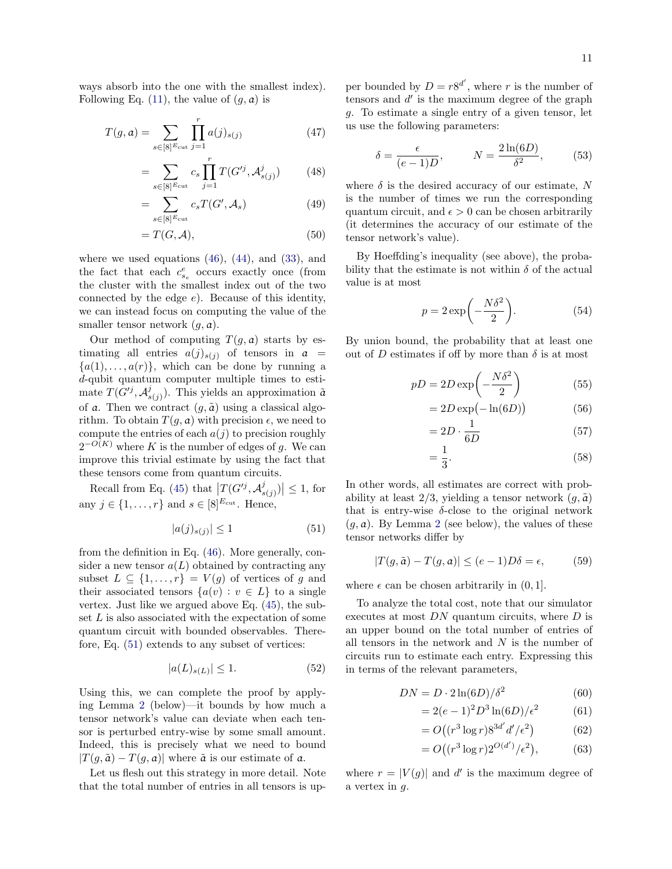ways absorb into the one with the smallest index). Following Eq. [\(11\)](#page-6-0), the value of  $(g, a)$  is

$$
T(g, a) = \sum_{s \in [8]^{\text{E}_{\text{cut}}} j = 1} \prod_{j=1}^{r} a(j)_{s(j)} \tag{47}
$$

$$
= \sum_{s \in [8]^{E_{\text{cut}}}} c_s \prod_{j=1}^r T(G'^j, \mathcal{A}_{s(j)}^j) \tag{48}
$$

$$
=\sum_{s\in[8]^{\text{E}_{\text{cut}}}} c_s T(G', \mathcal{A}_s) \tag{49}
$$

$$
=T(G,\mathcal{A}),\tag{50}
$$

where we used equations  $(46)$ ,  $(44)$ , and  $(33)$ , and the fact that each  $c_{s_e}^e$  occurs exactly once (from the cluster with the smallest index out of the two connected by the edge  $e$ ). Because of this identity, we can instead focus on computing the value of the smaller tensor network  $(g, a)$ .

Our method of computing  $T(q, a)$  starts by estimating all entries  $a(j)_{s(j)}$  of tensors in  $a =$  ${a(1), \ldots, a(r)}$ , which can be done by running a d-qubit quantum computer multiple times to estimate  $T(G^{ij}, \mathcal{A}_{s}^{j})$  $(s_{(j)})$ . This yields an approximation  $\tilde{a}$ of a. Then we contract  $(g, \tilde{a})$  using a classical algorithm. To obtain  $T(g, a)$  with precision  $\epsilon$ , we need to compute the entries of each  $a(j)$  to precision roughly  $2^{-O(K)}$  where K is the number of edges of g. We can improve this trivial estimate by using the fact that these tensors come from quantum circuits.

Recall from Eq. [\(45\)](#page-9-2) that  $\left|T(G^{ij}, \mathcal{A}_{s}^{j})\right|$  $\left| \begin{array}{c} j \\ s(j) \end{array} \right| \leq 1$ , for any  $j \in \{1, \ldots, r\}$  and  $s \in [8]^{E_{\text{cut}}}$ . Hence,

<span id="page-10-0"></span>
$$
|a(j)_{s(j)}| \le 1\tag{51}
$$

from the definition in Eq. [\(46\)](#page-9-1). More generally, consider a new tensor  $a(L)$  obtained by contracting any subset  $L \subseteq \{1, \ldots, r\} = V(g)$  of vertices of g and their associated tensors  $\{a(v) : v \in L\}$  to a single vertex. Just like we argued above Eq. [\(45\)](#page-9-2), the subset  $L$  is also associated with the expectation of some quantum circuit with bounded observables. Therefore, Eq. [\(51\)](#page-10-0) extends to any subset of vertices:

$$
|a(L)_{s(L)}| \le 1. \tag{52}
$$

Using this, we can complete the proof by applying Lemma [2](#page-11-0) (below)—it bounds by how much a tensor network's value can deviate when each tensor is perturbed entry-wise by some small amount. Indeed, this is precisely what we need to bound  $|T(q, \tilde{a}) - T(q, a)|$  where  $\tilde{a}$  is our estimate of a.

Let us flesh out this strategy in more detail. Note that the total number of entries in all tensors is up-

per bounded by  $D = r8^{d'}$ , where r is the number of tensors and  $d'$  is the maximum degree of the graph g. To estimate a single entry of a given tensor, let us use the following parameters:

$$
\delta = \frac{\epsilon}{(e-1)D}, \qquad N = \frac{2\ln(6D)}{\delta^2}, \qquad (53)
$$

where  $\delta$  is the desired accuracy of our estimate, N is the number of times we run the corresponding quantum circuit, and  $\epsilon > 0$  can be chosen arbitrarily (it determines the accuracy of our estimate of the tensor network's value).

By Hoeffding's inequality (see above), the probability that the estimate is not within  $\delta$  of the actual value is at most

$$
p = 2\exp\left(-\frac{N\delta^2}{2}\right).
$$
 (54)

By union bound, the probability that at least one out of D estimates if off by more than  $\delta$  is at most

$$
pD = 2D \exp\left(-\frac{N\delta^2}{2}\right) \tag{55}
$$

$$
=2D\exp(-\ln(6D))\tag{56}
$$

$$
=2D \cdot \frac{1}{6D} \tag{57}
$$

$$
=\frac{1}{3}.\tag{58}
$$

In other words, all estimates are correct with probability at least 2/3, yielding a tensor network  $(q, \tilde{a})$ that is entry-wise  $\delta$ -close to the original network  $(q, a)$ . By Lemma [2](#page-11-0) (see below), the values of these tensor networks differ by

$$
|T(g, \tilde{a}) - T(g, a)| \le (e - 1)D\delta = \epsilon,
$$
 (59)

where  $\epsilon$  can be chosen arbitrarily in  $(0, 1]$ .

To analyze the total cost, note that our simulator executes at most  $DN$  quantum circuits, where  $D$  is an upper bound on the total number of entries of all tensors in the network and  $N$  is the number of circuits run to estimate each entry. Expressing this in terms of the relevant parameters,

$$
DN = D \cdot 2\ln(6D)/\delta^2 \tag{60}
$$

$$
= 2(e-1)^2 D^3 \ln(6D) / \epsilon^2 \tag{61}
$$

$$
=O\left((r^3\log r)8^{3d'}d'/\epsilon^2\right) \tag{62}
$$

$$
=O\big((r^3\log r)2^{O(d')}/\epsilon^2\big),\tag{63}
$$

where  $r = |V(g)|$  and d' is the maximum degree of a vertex in  $q$ .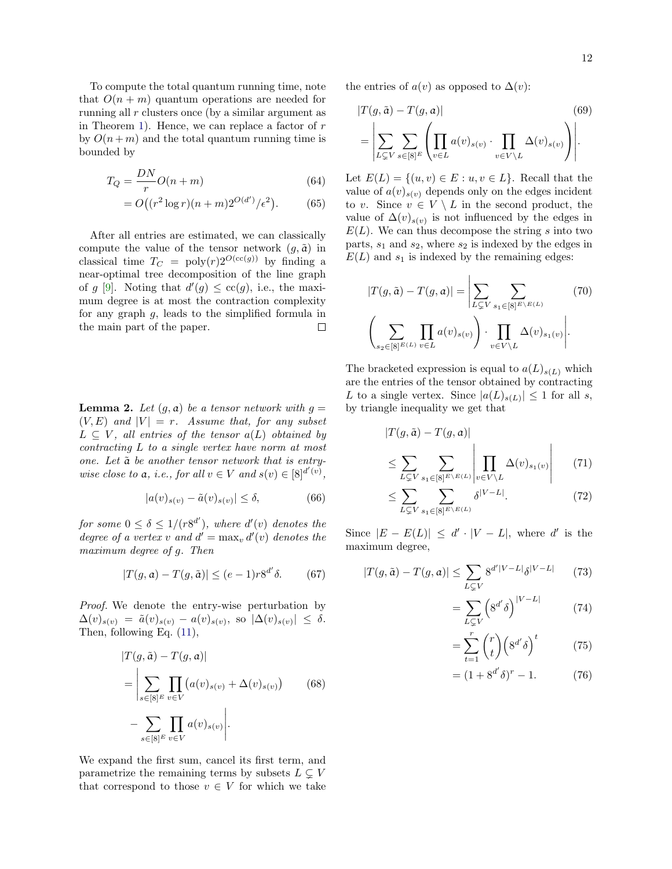To compute the total quantum running time, note that  $O(n + m)$  quantum operations are needed for running all r clusters once (by a similar argument as in Theorem [1\)](#page-2-2). Hence, we can replace a factor of  $r$ by  $O(n+m)$  and the total quantum running time is bounded by

$$
T_Q = \frac{DN}{r}O(n+m) \tag{64}
$$

$$
= O((r^2 \log r)(n+m)2^{O(d')}/\epsilon^2). \tag{65}
$$

After all entries are estimated, we can classically compute the value of the tensor network  $(g, \tilde{a})$  in classical time  $T_C = \text{poly}(r)2^{O(\text{cc}(g))}$  by finding a near-optimal tree decomposition of the line graph of g [\[9\]](#page-5-2). Noting that  $d'(g) \leq c c(g)$ , i.e., the maximum degree is at most the contraction complexity for any graph  $g$ , leads to the simplified formula in the main part of the paper.  $\Box$ 

<span id="page-11-0"></span>**Lemma 2.** Let  $(g, a)$  be a tensor network with  $g =$  $(V, E)$  and  $|V| = r$ . Assume that, for any subset  $L \subseteq V$ , all entries of the tensor  $a(L)$  obtained by contracting L to a single vertex have norm at most one. Let  $\tilde{a}$  be another tensor network that is entrywise close to a, i.e., for all  $v \in V$  and  $s(v) \in [8]^{d'(v)}$ ,

$$
|a(v)_{s(v)} - \tilde{a}(v)_{s(v)}| \le \delta, \tag{66}
$$

for some  $0 \leq \delta \leq 1/(r8^{d'}),$  where  $d'(v)$  denotes the degree of a vertex v and  $d' = \max_v d'(v)$  denotes the maximum degree of g. Then

$$
|T(g, a) - T(g, \tilde{a})| \le (e - 1)r8^{d'}\delta. \tag{67}
$$

Proof. We denote the entry-wise perturbation by  $\Delta(v)_{s(v)} = \tilde{a}(v)_{s(v)} - a(v)_{s(v)}, \text{ so } |\Delta(v)_{s(v)}| \leq \delta.$ Then, following Eq. [\(11\)](#page-6-0),

$$
|T(g, \tilde{a}) - T(g, a)|
$$
  
= 
$$
\left| \sum_{s \in [8]^E} \prod_{v \in V} (a(v)_{s(v)} + \Delta(v)_{s(v)}) \right|
$$
 (68)  

$$
- \sum_{s \in [8]^E} \prod_{v \in V} a(v)_{s(v)} \right|.
$$

We expand the first sum, cancel its first term, and parametrize the remaining terms by subsets  $L \subseteq V$ that correspond to those  $v \in V$  for which we take the entries of  $a(v)$  as opposed to  $\Delta(v)$ :

$$
|T(g, \tilde{a}) - T(g, a)|
$$
\n
$$
= \left| \sum_{L \subsetneq V} \sum_{s \in [8]^E} \left( \prod_{v \in L} a(v)_{s(v)} \cdot \prod_{v \in V \setminus L} \Delta(v)_{s(v)} \right) \right|.
$$
\n(69)

Let  $E(L) = \{(u, v) \in E : u, v \in L\}$ . Recall that the value of  $a(v)_{s(v)}$  depends only on the edges incident to v. Since  $v \in V \setminus L$  in the second product, the value of  $\Delta(v)_{s(v)}$  is not influenced by the edges in  $E(L)$ . We can thus decompose the string s into two parts,  $s_1$  and  $s_2$ , where  $s_2$  is indexed by the edges in  $E(L)$  and  $s_1$  is indexed by the remaining edges:

$$
|T(g,\tilde{a}) - T(g,a)| = \left| \sum_{L \subsetneq V} \sum_{s_1 \in [8]^{E \setminus E(L)}} (70) \right|
$$

$$
\left( \sum_{s_2 \in [8]^{E(L)}} \prod_{v \in L} a(v)_{s(v)} \right) \cdot \prod_{v \in V \setminus L} \Delta(v)_{s_1(v)} \left|.
$$

The bracketed expression is equal to  $a(L)_{s(L)}$  which are the entries of the tensor obtained by contracting L to a single vertex. Since  $|a(L)_{s(L)}| \leq 1$  for all s, by triangle inequality we get that

$$
|T(g,\tilde{a}) - T(g,a)|
$$
  
\n
$$
\leq \sum_{L \subsetneq V} \sum_{s_1 \in [8]^{E \setminus E(L)}} \left| \prod_{v \in V \setminus L} \Delta(v)_{s_1(v)} \right| \qquad (71)
$$

$$
\leq \sum_{L \subsetneq V} \sum_{s_1 \in [8]^{E \setminus E(L)}} \delta^{|V - L|}.\tag{72}
$$

Since  $|E - E(L)| \le d' \cdot |V - L|$ , where d' is the maximum degree,

$$
|T(g,\tilde{a}) - T(g,a)| \le \sum_{L \subsetneq V} 8^{d'|V - L|} \delta^{|V - L|} \qquad (73)
$$

$$
=\sum_{L\subsetneq V} \left(8^{d'}\delta\right)^{|V-L|} \tag{74}
$$

$$
=\sum_{t=1}^{r} {r \choose t} \left(8^{d'}\delta\right)^t \tag{75}
$$

$$
= (1 + 8^{d'} \delta)^{r} - 1.
$$
 (76)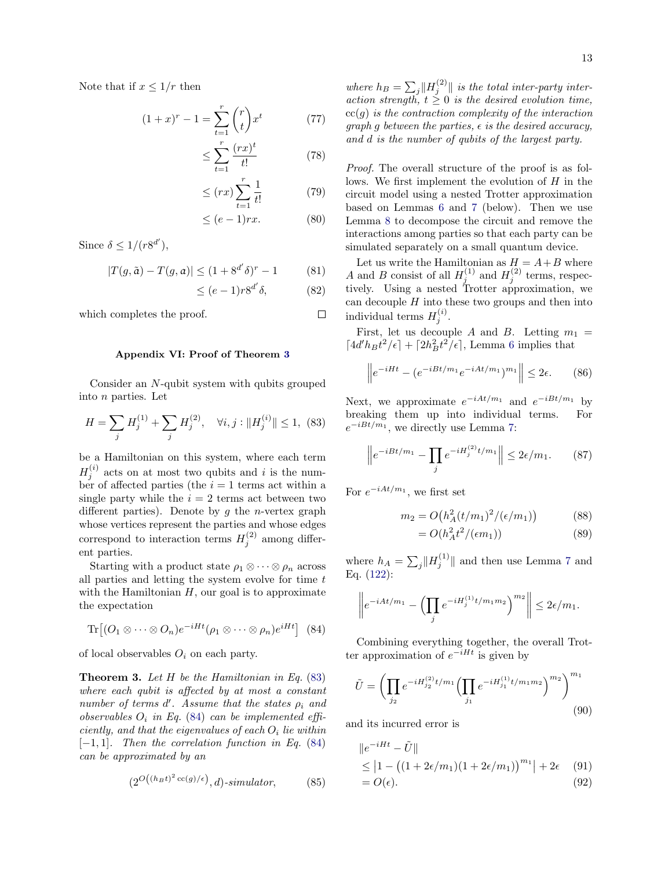Note that if  $x \leq 1/r$  then

$$
(1+x)^{r} - 1 = \sum_{t=1}^{r} {r \choose t} x^{t}
$$
 (77)

$$
\leq \sum_{t=1}^{r} \frac{(rx)^t}{t!} \tag{78}
$$

$$
\leq (rx) \sum_{t=1}^{r} \frac{1}{t!} \tag{79}
$$

$$
\leq (e-1)rx.\tag{80}
$$

Since  $\delta \leq 1/(r8^{d'}),$ 

$$
|T(g, \tilde{a}) - T(g, a)| \le (1 + 8^{d'} \delta)^{r} - 1
$$
 (81)

$$
\leq (e-1)r8^{d'}\delta,\tag{82}
$$

which completes the proof.

## Appendix VI: Proof of Theorem [3](#page-3-3)

Consider an N-qubit system with qubits grouped into n parties. Let

<span id="page-12-0"></span>
$$
H = \sum_{j} H_j^{(1)} + \sum_{j} H_j^{(2)}, \quad \forall i, j : ||H_j^{(i)}|| \le 1, \tag{83}
$$

be a Hamiltonian on this system, where each term  $H_j^{(i)}$  acts on at most two qubits and i is the number of affected parties (the  $i = 1$  terms act within a single party while the  $i = 2$  terms act between two different parties). Denote by  $g$  the *n*-vertex graph whose vertices represent the parties and whose edges correspond to interaction terms  $H_j^{(2)}$  among different parties.

Starting with a product state  $\rho_1 \otimes \cdots \otimes \rho_n$  across all parties and letting the system evolve for time t with the Hamiltonian  $H$ , our goal is to approximate the expectation

<span id="page-12-1"></span>
$$
\text{Tr}\big[(O_1\otimes\cdots\otimes O_n)e^{-iHt}(\rho_1\otimes\cdots\otimes\rho_n)e^{iHt}\big] \tag{84}
$$

of local observables  $O_i$  on each party.

**Theorem 3.** Let  $H$  be the Hamiltonian in Eq. [\(83\)](#page-12-0) where each qubit is affected by at most a constant number of terms  $d'$ . Assume that the states  $\rho_i$  and observables  $O_i$  in Eq. [\(84\)](#page-12-1) can be implemented efficiently, and that the eigenvalues of each  $O_i$  lie within  $[-1, 1]$ . Then the correlation function in Eq. [\(84\)](#page-12-1) can be approximated by an

$$
(2^{O((h_B t)^2 \operatorname{cc}(g)/\epsilon)}, d)\text{-}\operatorname{simulator},\tag{85}
$$

where  $h_B = \sum_j ||H_j^{(2)}||$  is the total inter-party interaction strength,  $t \geq 0$  is the desired evolution time,  $cc(g)$  is the contraction complexity of the interaction graph g between the parties,  $\epsilon$  is the desired accuracy, and d is the number of qubits of the largest party.

Proof. The overall structure of the proof is as follows. We first implement the evolution of  $H$  in the circuit model using a nested Trotter approximation based on Lemmas [6](#page-14-0) and [7](#page-14-1) (below). Then we use Lemma [8](#page-15-0) to decompose the circuit and remove the interactions among parties so that each party can be simulated separately on a small quantum device.

Let us write the Hamiltonian as  $H = A + B$  where A and B consist of all  $H_j^{(1)}$  and  $H_j^{(2)}$  terms, respectively. Using a nested Trotter approximation, we can decouple  $H$  into these two groups and then into individual terms  $H_j^{(i)}$ .

First, let us decouple A and B. Letting  $m_1 =$  $\lceil 4d'h_Bt^2/\epsilon\rceil + \lceil 2h_B^2t^2/\epsilon\rceil$ , Lemma [6](#page-14-0) implies that

$$
\left\|e^{-iHt} - \left(e^{-iBt/m_1}e^{-iAt/m_1}\right)^{m_1}\right\| \le 2\epsilon. \tag{86}
$$

Next, we approximate  $e^{-iAt/m_1}$  and  $e^{-iBt/m_1}$  by breaking them up into individual terms. For  $e^{-iBt/m_1}$ , we directly use Lemma [7:](#page-14-1)

$$
\left\|e^{-iBt/m_1} - \prod_j e^{-iH_j^{(2)}t/m_1}\right\| \le 2\epsilon/m_1. \tag{87}
$$

For  $e^{-iAt/m_1}$ , we first set

$$
m_2 = O\big(h_A^2(t/m_1)^2/(\epsilon/m_1)\big) \tag{88}
$$

$$
=O(h_A^2 t^2/(\epsilon m_1))\tag{89}
$$

where  $h_A = \sum_j ||H_j^{(1)}||$  and then use Lemma [7](#page-14-1) and Eq. [\(122\)](#page-14-2):

$$
\left\|e^{-iAt/m_1} - \left(\prod_j e^{-iH_j^{(1)}t/m_1m_2}\right)^{m_2}\right\| \leq 2\epsilon/m_1.
$$

Combining everything together, the overall Trotter approximation of  $e^{-iHt}$  is given by

<span id="page-12-2"></span>
$$
\tilde{U} = \left(\prod_{j_2} e^{-iH_{j_2}^{(2)}t/m_1} \left(\prod_{j_1} e^{-iH_{j_1}^{(1)}t/m_1m_2}\right)^{m_2}\right)^{m_1}
$$
\n(90)

and its incurred error is

$$
||e^{-iHt} - \tilde{U}||
$$
  
\n
$$
\leq |1 - ((1 + 2\epsilon/m_1)(1 + 2\epsilon/m_1))^{m_1}| + 2\epsilon
$$
 (91)  
\n
$$
= O(\epsilon).
$$
 (92)

 $\Box$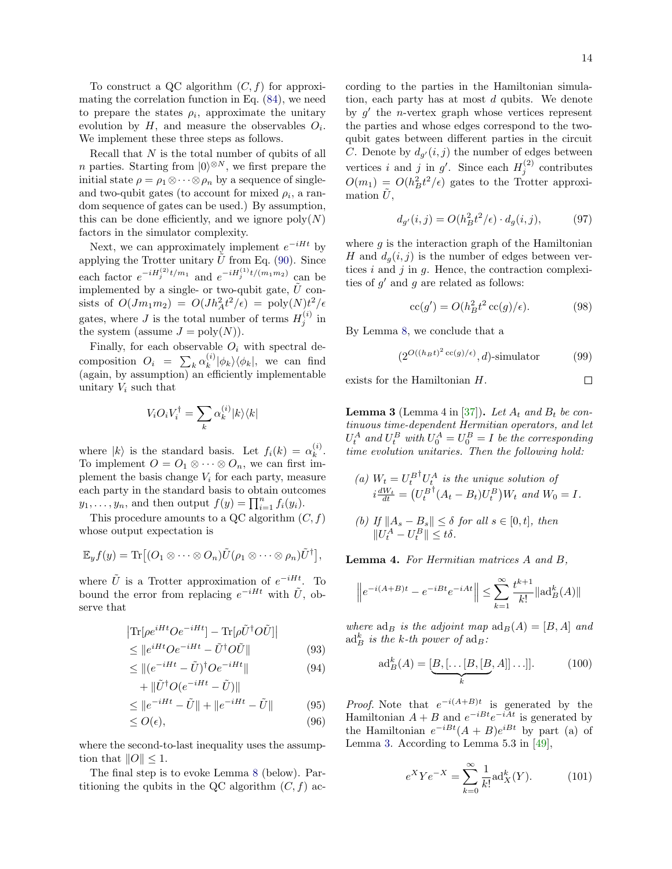To construct a QC algorithm  $(C, f)$  for approximating the correlation function in Eq. [\(84\)](#page-12-1), we need to prepare the states  $\rho_i$ , approximate the unitary evolution by  $H$ , and measure the observables  $O_i$ . We implement these three steps as follows.

Recall that N is the total number of qubits of all *n* parties. Starting from  $|0\rangle^{\otimes N}$ , we first prepare the initial state  $\rho = \rho_1 \otimes \cdots \otimes \rho_n$  by a sequence of singleand two-qubit gates (to account for mixed  $\rho_i$ , a random sequence of gates can be used.) By assumption, this can be done efficiently, and we ignore  $poly(N)$ factors in the simulator complexity.

Next, we can approximately implement  $e^{-iHt}$  by applying the Trotter unitary  $\hat{U}$  from Eq. [\(90\)](#page-12-2). Since each factor  $e^{-iH_j^{(2)}t/m_1}$  and  $e^{-iH_j^{(1)}t/(m_1m_2)}$  can be implemented by a single- or two-qubit gate,  $\tilde{U}$  consists of  $O(Jm_1m_2) = O(Jh_A^2t^2/\epsilon) = \text{poly}(N)t^2/\epsilon$ gates, where J is the total number of terms  $H_j^{(i)}$  in the system (assume  $J = \text{poly}(N)$ ).

Finally, for each observable  $O_i$  with spectral decomposition  $O_i = \sum_k \alpha_k^{(i)}$  $\binom{n}{k} \left| \phi_k \right\rangle \left\langle \phi_k \right|$ , we can find (again, by assumption) an efficiently implementable unitary  $V_i$  such that

$$
V_iO_iV_i^\dagger=\sum_k\alpha_k^{(i)}|k\rangle\langle k|
$$

where  $|k\rangle$  is the standard basis. Let  $f_i(k) = \alpha_k^{(i)}$  $\binom{v}{k}$ . To implement  $O = O_1 \otimes \cdots \otimes O_n$ , we can first implement the basis change  $V_i$  for each party, measure each party in the standard basis to obtain outcomes  $y_1, \ldots, y_n$ , and then output  $f(y) = \prod_{i=1}^n f_i(y_i)$ .

This procedure amounts to a QC algorithm  $(C, f)$ whose output expectation is

$$
\mathbb{E}_y f(y) = \text{Tr}\big[(O_1 \otimes \cdots \otimes O_n) \tilde{U}(\rho_1 \otimes \cdots \otimes \rho_n) \tilde{U}^{\dagger}\big],
$$

where  $\tilde{U}$  is a Trotter approximation of  $e^{-iHt}$ . To bound the error from replacing  $e^{-iHt}$  with  $\tilde{U}$ , observe that

$$
\left| \text{Tr} \left[ \rho e^{iHt} O e^{-iHt} \right] - \text{Tr} \left[ \rho \tilde{U}^{\dagger} O \tilde{U} \right] \right|
$$
  

$$
\leq \lim_{t \to \infty} \frac{iHt}{2} O^{-iHt} \quad \text{tr}(O, \tilde{U})
$$

$$
\leq \|e^{iHt}Oe^{-iHt} - \tilde{U}^{\dagger}O\tilde{U}\|
$$
\n
$$
\leq \| (e^{-iHt} - \tilde{U})^{\dagger}Oe^{-iHt} \|
$$
\n(93)\n(94)

$$
\leq ||(e^{-iHt} - U)^{\dagger} O e^{-iHt}||
$$
\n
$$
+ ||\tilde{U}^{\dagger} O(e^{-iHt} - \tilde{U})||
$$
\n
$$
(94)
$$

$$
\leq \|e^{-iHt} - \tilde{U}\| + \|e^{-iHt} - \tilde{U}\|
$$
 (95)

$$
\leq O(\epsilon),\tag{96}
$$

where the second-to-last inequality uses the assumption that  $||O|| \leq 1$ .

The final step is to evoke Lemma [8](#page-15-0) (below). Partitioning the qubits in the QC algorithm  $(C, f)$  according to the parties in the Hamiltonian simulation, each party has at most d qubits. We denote by  $g'$  the *n*-vertex graph whose vertices represent the parties and whose edges correspond to the twoqubit gates between different parties in the circuit C. Denote by  $d_{g'}(i,j)$  the number of edges between vertices *i* and *j* in  $g'$ . Since each  $H_j^{(2)}$  contributes  $O(m_1) = O(h_B^2 t^2/\epsilon)$  gates to the Trotter approximation  $U$ ,

<span id="page-13-0"></span>
$$
d_{g'}(i,j) = O(h_B^2 t^2/\epsilon) \cdot d_g(i,j),\tag{97}
$$

where  $q$  is the interaction graph of the Hamiltonian H and  $d_q(i, j)$  is the number of edges between vertices  $i$  and  $j$  in  $g$ . Hence, the contraction complexities of  $g'$  and  $g$  are related as follows:

$$
cc(g') = O(h_B^2 t^2 cc(g)/\epsilon). \tag{98}
$$

By Lemma [8,](#page-15-0) we conclude that a

$$
(2^{O((h_B t)^2 \operatorname{cc}(g)/\epsilon)}, d)\text{-simulator} \tag{99}
$$

exists for the Hamiltonian H.

 $||U_t^A - U_t^B|| \leq t\delta.$ 

 $\Box$ 

<span id="page-13-1"></span>**Lemma 3** (Lemma 4 in [\[37\]](#page-5-19)). Let  $A_t$  and  $B_t$  be continuous time-dependent Hermitian operators, and let  $U_t^A$  and  $U_t^B$  with  $U_0^A = U_0^B = I$  be the corresponding time evolution unitaries. Then the following hold:

\n- (a) 
$$
W_t = U_t^{B\dagger} U_t^A
$$
 is the unique solution of  $i \frac{dW_t}{dt} = \left( U_t^{B\dagger} (A_t - B_t) U_t^B \right) W_t$  and  $W_0 = I$ .
\n- (b) If  $||A_s - B_s|| \leq \delta$  for all  $s \in [0, t]$ , then
\n

<span id="page-13-2"></span>Lemma 4. For Hermitian matrices A and B,

$$
\left\| e^{-i(A+B)t} - e^{-iBt} e^{-iAt} \right\| \le \sum_{k=1}^{\infty} \frac{t^{k+1}}{k!} \|\text{ad}_B^k(A)\|
$$

where  $\text{ad}_B$  is the adjoint map  $\text{ad}_B(A) = [B, A]$  and  $\mathrm{ad}^k_B$  is the k-th power of  $\mathrm{ad}_B$ :

$$
\mathrm{ad}_B^k(A) = [\underbrace{B, [\dots[B, [B, A]] \dots ]}_{k}]. \tag{100}
$$

*Proof.* Note that  $e^{-i(A+B)t}$  is generated by the Hamiltonian  $A + B$  and  $e^{-iBt}e^{-iAt}$  is generated by the Hamiltonian  $e^{-iBt}(A + B)e^{iBt}$  by part (a) of Lemma [3.](#page-13-1) According to Lemma 5.3 in [\[49\]](#page-5-33),

$$
e^{X}Ye^{-X} = \sum_{k=0}^{\infty} \frac{1}{k!} \text{ad}_{X}^{k}(Y). \tag{101}
$$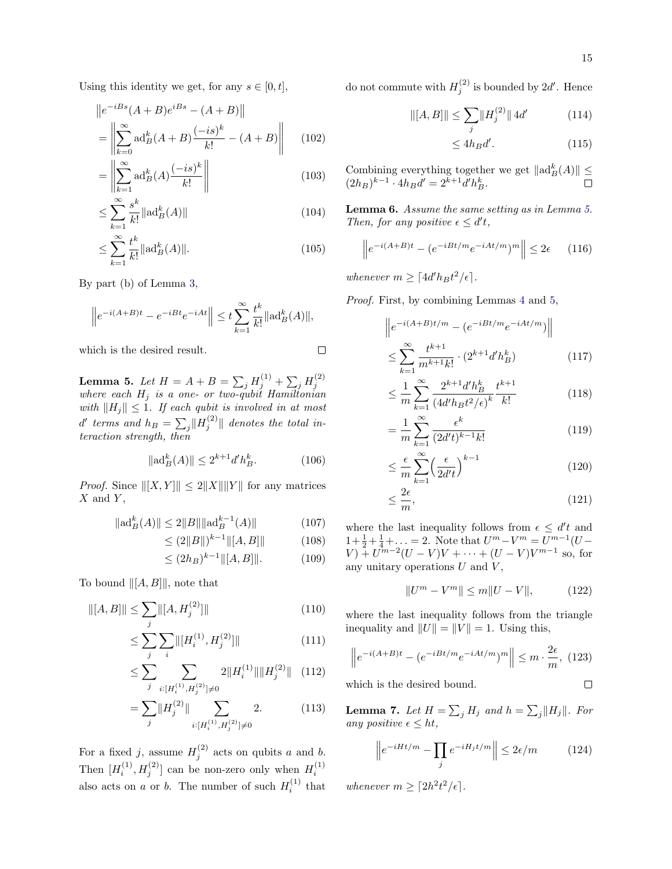Using this identity we get, for any  $s \in [0, t]$ ,

$$
||e^{-iBs}(A+B)e^{iBs} - (A+B)||
$$
  
= 
$$
\left\| \sum_{k=0}^{\infty} ad_B^k (A+B) \frac{(-is)^k}{k!} - (A+B) \right\|
$$
 (102)

$$
= \left\| \sum_{k=1}^{\infty} \mathrm{ad}_B^k(A) \frac{(-is)^k}{k!} \right\| \tag{103}
$$

$$
\leq \sum_{k=1}^{\infty} \frac{s^k}{k!} \|\mathrm{ad}_B^k(A)\| \tag{104}
$$

$$
\leq \sum_{k=1}^{\infty} \frac{t^k}{k!} ||ad_B^k(A)||. \tag{105}
$$

By part (b) of Lemma [3,](#page-13-1)

$$
\left\|e^{-i(A+B)t}-e^{-iBt}e^{-iAt}\right\| \leq t\sum_{k=1}^{\infty}\frac{t^k}{k!}\|\mathrm{ad}_B^k(A)\|,
$$

which is the desired result.

$$
\Box
$$

<span id="page-14-3"></span>**Lemma 5.** Let  $H = A + B = \sum_j H_j^{(1)} + \sum_j H_j^{(2)}$ <br>where each  $H_j$  is a one- or two-qubit Hamiltonian with  $||H_j|| \leq 1$ . If each qubit is involved in at most  $d'$  terms and  $h_B$  =  $\sum_j \lVert H_j^{(2)} \rVert$  denotes the total interaction strength, then

$$
\|\mathrm{ad}_B^k(A)\| \le 2^{k+1} d'h_B^k. \tag{106}
$$

*Proof.* Since  $||[X, Y]|| \le 2||X|| ||Y||$  for any matrices  $X$  and  $Y$ ,

$$
\|\mathrm{ad}_B^k(A)\| \le 2\|B\|\|\mathrm{ad}_B^{k-1}(A)\| \tag{107}
$$

$$
\leq (2||B||)^{k-1} ||[A,B]|| \tag{108}
$$

$$
\leq (2h_B)^{k-1} \|[A, B]\|.\tag{109}
$$

To bound  $\|[A, B]\|$ , note that

$$
\| [A, B] \| \le \sum_{j} \| [A, H_j^{(2)}] \| \tag{110}
$$

$$
\leq \sum_{j} \sum_{i} \left\| [H_i^{(1)}, H_j^{(2)}] \right\| \tag{111}
$$

$$
\leq \sum_{j} \sum_{i:[H_i^{(1)},H_j^{(2)}]\neq 0} 2\|H_i^{(1)}\| \|H_j^{(2)}\| \quad (112)
$$

$$
=\sum_{j}||H_{j}^{(2)}||\sum_{i:[H_{i}^{(1)},H_{j}^{(2)}]\neq 0}2.\tag{113}
$$

For a fixed j, assume  $H_j^{(2)}$  acts on qubits a and b. Then  $[H_i^{(1)}, H_j^{(2)}]$  can be non-zero only when  $H_i^{(1)}$ also acts on a or b. The number of such  $H_i^{(1)}$  that do not commute with  $H_j^{(2)}$  is bounded by  $2d'$ . Hence

$$
\| [A, B] \| \le \sum_{j} \| H_j^{(2)} \| 4d' \tag{114}
$$

$$
\leq 4h_B d'.
$$
 (115)

Combining everything together we get  $\|\mathrm{ad}_B^k(A)\| \leq$  $(2h_B)^{k-1} \cdot 4h_B d' = 2^{k+1} d'h_B^k.$ 

<span id="page-14-0"></span>Lemma 6. Assume the same setting as in Lemma [5.](#page-14-3) Then, for any positive  $\epsilon \leq d' t$ ,

$$
\left\|e^{-i(A+B)t} - (e^{-iBt/m}e^{-iAt/m})^m\right\| \le 2\epsilon \qquad (116)
$$

whenever  $m \geq \lceil 4d'h_Bt^2/\epsilon \rceil$ .

Proof. First, by combining Lemmas [4](#page-13-2) and [5,](#page-14-3)

$$
\|e^{-i(A+B)t/m} - (e^{-iBt/m}e^{-iAt/m})\|
$$
  

$$
\leq \sum_{k=1}^{\infty} \frac{t^{k+1}}{m^{k+1}k!} \cdot (2^{k+1}d'h_B^k)
$$
 (117)

$$
\leq \frac{1}{m} \sum_{k=1}^{\infty} \frac{2^{k+1} d'h_B^k}{(4d'h_Bt^2/\epsilon)^k} \frac{t^{k+1}}{k!}
$$
(118)

$$
= \frac{1}{m} \sum_{k=1}^{\infty} \frac{\epsilon^k}{(2d^t t)^{k-1} k!}
$$
 (119)

$$
\leq \frac{\epsilon}{m} \sum_{k=1}^{\infty} \left(\frac{\epsilon}{2d't}\right)^{k-1} \tag{120}
$$

$$
\leq \frac{2\epsilon}{m},\tag{121}
$$

where the last inequality follows from  $\epsilon \leq d't$  and  $1 + \frac{1}{2} + \frac{1}{4} + \ldots = 2$ . Note that  $U^m - V^m = U^{m-1}(U V + U^{m-2}(U - V)V + \cdots + (U - V)V^{m-1}$  so, for any unitary operations  $U$  and  $V$ ,

<span id="page-14-2"></span>
$$
||U^m - V^m|| \le m||U - V||, \qquad (122)
$$

where the last inequality follows from the triangle inequality and  $||U|| = ||V|| = 1$ . Using this,

$$
\left\|e^{-i(A+B)t} - (e^{-iBt/m}e^{-iAt/m})^m\right\| \le m \cdot \frac{2\epsilon}{m},
$$
 (123)

which is the desired bound. 
$$
\Box
$$

<span id="page-14-1"></span>**Lemma 7.** Let  $H = \sum_j H_j$  and  $h = \sum_j ||H_j||$ . For any positive  $\epsilon \leq ht$ ,

$$
\left\|e^{-iHt/m} - \prod_{j} e^{-iH_jt/m}\right\| \le 2\epsilon/m \tag{124}
$$

whenever  $m \geq \lceil 2h^2 t^2/\epsilon \rceil$ .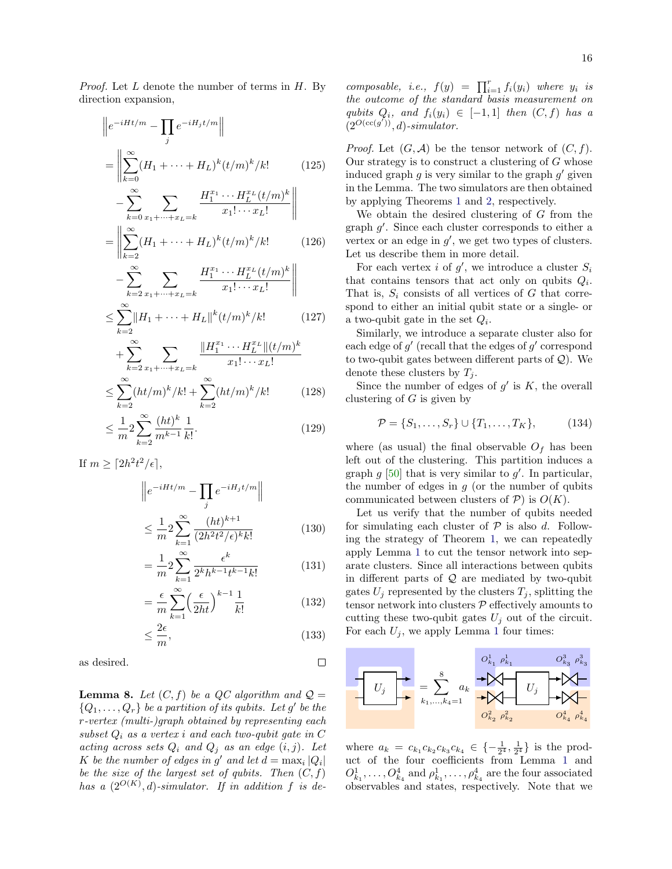*Proof.* Let  $L$  denote the number of terms in  $H$ . By direction expansion,

$$
\|e^{-iHt/m} - \prod_{j} e^{-iH_jt/m}\|
$$
\n
$$
= \left\|\sum_{k=0}^{\infty} (H_1 + \dots + H_L)^k (t/m)^k / k! \qquad (125)
$$
\n
$$
- \sum_{k=0}^{\infty} \sum_{x_1 + \dots + x_{L=k}} \frac{H_1^{x_1} \cdots H_L^{x_L} (t/m)^k}{x_1! \cdots x_L!} \right\|
$$
\n
$$
= \left\|\sum_{k=2}^{\infty} (H_1 + \dots + H_L)^k (t/m)^k / k! \qquad (126)
$$

$$
-\sum_{k=2}^{\infty} \sum_{x_1+\dots+x_L=k} \frac{H_1^{x_1}\cdots H_L^{x_L}(t/m)^k}{x_1!\cdots x_L!} \Bigg\|
$$
  

$$
\sum_{k=2}^{\infty} \|H_1 + \dots + H_L\|_{k}^{k} (t/m)^k / k! \qquad (127)
$$

$$
\leq \sum_{k=2} \|H_1 + \dots + H_L\|^k (t/m)^k / k! \tag{127}
$$

$$
+\sum_{k=2}^{\infty} \sum_{x_1+\dots+x_L=k} \frac{\|H_1^{x_1}\cdots H_L^{x_L}\|(t/m)^k}{x_1!\cdots x_L!} \le \sum_{k=2}^{\infty} (ht/m)^k/k! + \sum_{k=2}^{\infty} (ht/m)^k/k! \tag{128}
$$

$$
\leq \frac{1}{m} 2 \sum_{k=2}^{\infty} \frac{(ht)^k}{m^{k-1}} \frac{1}{k!}.
$$
\n(129)

If  $m \geq \lceil 2h^2t^2/\epsilon \rceil$ ,

$$
\|e^{-iHt/m} - \prod_{j} e^{-iH_jt/m}\|
$$
  

$$
\leq \frac{1}{m} 2 \sum_{k=1}^{\infty} \frac{(ht)^{k+1}}{(2h^2t^2/\epsilon)^k k!}
$$
 (130)

$$
= \frac{1}{m} 2 \sum_{k=1}^{\infty} \frac{\epsilon^k}{2^k h^{k-1} t^{k-1} k!}
$$
 (131)

$$
= \frac{\epsilon}{m} \sum_{k=1}^{\infty} \left(\frac{\epsilon}{2ht}\right)^{k-1} \frac{1}{k!}
$$
 (132)

$$
\leq \frac{2\epsilon}{m},\tag{133}
$$

 $\Box$ 

as desired.

<span id="page-15-0"></span>**Lemma 8.** Let  $(C, f)$  be a QC algorithm and  $Q =$  ${Q_1, \ldots, Q_r}$  be a partition of its qubits. Let g' be the r-vertex (multi-)graph obtained by representing each subset  $Q_i$  as a vertex i and each two-qubit gate in  $C$ acting across sets  $Q_i$  and  $Q_j$  as an edge  $(i, j)$ . Let K be the number of edges in g' and let  $d = \max_i |Q_i|$ be the size of the largest set of qubits. Then  $(C, f)$ has a  $(2^{O(K)}, d)$ -simulator. If in addition f is decomposable, i.e.,  $f(y) = \prod_{i=1}^{r} f_i(y_i)$  where  $y_i$  is the outcome of the standard basis measurement on qubits  $Q_i$ , and  $f_i(y_i) \in [-1,1]$  then  $(C, f)$  has a  $(2^{O(\operatorname{cc}(g'))}, d)$ -simulator.

*Proof.* Let  $(G, \mathcal{A})$  be the tensor network of  $(C, f)$ . Our strategy is to construct a clustering of  $G$  whose induced graph  $g$  is very similar to the graph  $g'$  given in the Lemma. The two simulators are then obtained by applying Theorems [1](#page-2-2) and [2,](#page-3-0) respectively.

We obtain the desired clustering of G from the graph  $g'$ . Since each cluster corresponds to either a vertex or an edge in  $g'$ , we get two types of clusters. Let us describe them in more detail.

For each vertex *i* of  $g'$ , we introduce a cluster  $S_i$ that contains tensors that act only on qubits  $Q_i$ . That is,  $S_i$  consists of all vertices of G that correspond to either an initial qubit state or a single- or a two-qubit gate in the set  $Q_i$ .

Similarly, we introduce a separate cluster also for each edge of  $g'$  (recall that the edges of  $g'$  correspond to two-qubit gates between different parts of  $\mathcal{Q}$ ). We denote these clusters by  $T_i$ .

Since the number of edges of  $g'$  is  $K$ , the overall clustering of  $G$  is given by

$$
\mathcal{P} = \{S_1, \dots, S_r\} \cup \{T_1, \dots, T_K\},\tag{134}
$$

where (as usual) the final observable  $O_f$  has been left out of the clustering. This partition induces a graph  $g$  [\[50\]](#page-5-34) that is very similar to  $g'$ . In particular, the number of edges in  $q$  (or the number of qubits communicated between clusters of  $P$ ) is  $O(K)$ .

Let us verify that the number of qubits needed for simulating each cluster of  $P$  is also d. Following the strategy of Theorem [1,](#page-2-2) we can repeatedly apply Lemma [1](#page-1-1) to cut the tensor network into separate clusters. Since all interactions between qubits in different parts of  $Q$  are mediated by two-qubit gates  $U_i$  represented by the clusters  $T_i$ , splitting the tensor network into clusters  $P$  effectively amounts to cutting these two-qubit gates  $U_j$  out of the circuit. For each  $U_j$ , we apply Lemma [1](#page-1-1) four times:



where  $a_k = c_{k_1} c_{k_2} c_{k_3} c_{k_4} \in \{-\frac{1}{2^4}, \frac{1}{2^4}\}\$  is the product of the four coefficients from Lemma [1](#page-1-1) and  $O_{k_1}^1, \ldots, O_{k_4}^4$  and  $\rho_{k_1}^1, \ldots, \rho_{k_4}^4$  are the four associated observables and states, respectively. Note that we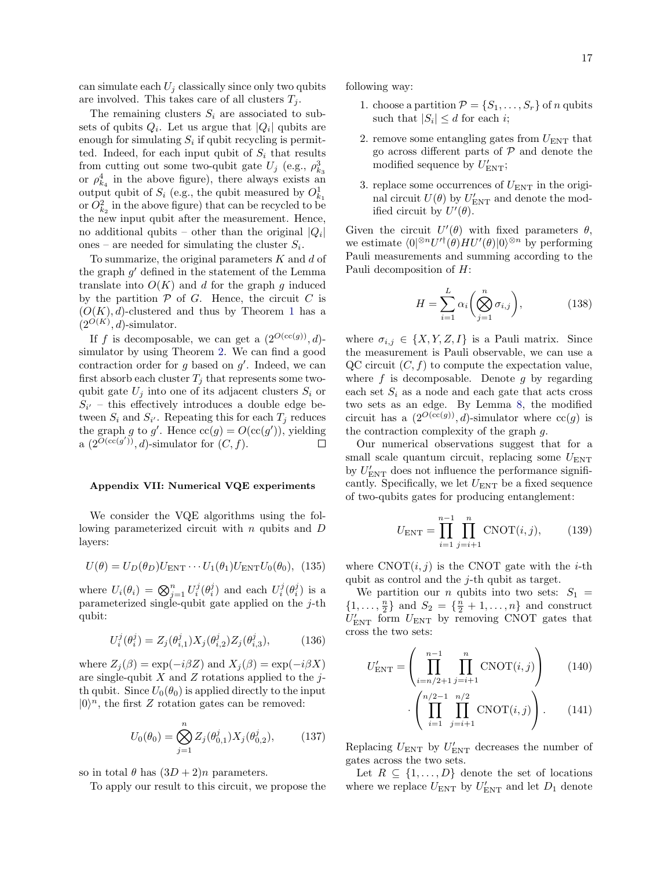can simulate each  $U_i$  classically since only two qubits are involved. This takes care of all clusters  $T_j$ .

The remaining clusters  $S_i$  are associated to subsets of qubits  $Q_i$ . Let us argue that  $|Q_i|$  qubits are enough for simulating  $S_i$  if qubit recycling is permitted. Indeed, for each input qubit of  $S_i$  that results from cutting out some two-qubit gate  $U_j$  (e.g.,  $\rho_{k_3}^3$ ) or  $\rho_{k_4}^4$  in the above figure), there always exists an output qubit of  $S_i$  (e.g., the qubit measured by  $O_{k_1}^1$ or  $O_{k_2}^2$  in the above figure) that can be recycled to be the new input qubit after the measurement. Hence, no additional qubits – other than the original  $|Q_i|$ ones – are needed for simulating the cluster  $S_i$ .

To summarize, the original parameters  $K$  and  $d$  of the graph  $g'$  defined in the statement of the Lemma translate into  $O(K)$  and d for the graph q induced by the partition  $P$  of  $G$ . Hence, the circuit  $C$  is  $(O(K), d)$ -clustered and thus by Theorem [1](#page-2-2) has a  $(2^{O(K)}, d)$ -simulator.

If f is decomposable, we can get a  $(2^{O(\text{cc}(g))}, d)$ simulator by using Theorem [2.](#page-3-0) We can find a good contraction order for  $g$  based on  $g'$ . Indeed, we can first absorb each cluster  $T_i$  that represents some twoqubit gate  $U_j$  into one of its adjacent clusters  $S_i$  or  $S_{i'}$  – this effectively introduces a double edge between  $S_i$  and  $S_{i'}$ . Repeating this for each  $T_j$  reduces the graph g to g'. Hence  $\operatorname{cc}(g) = O(\operatorname{cc}(g'))$ , yielding a  $(2^{\widetilde{O}(\operatorname{cc}(g'))}, d)$ -simulator for  $(C, f)$ . П

#### Appendix VII: Numerical VQE experiments

We consider the VQE algorithms using the following parameterized circuit with n qubits and D layers:

$$
U(\theta) = U_D(\theta_D) U_{\text{ENT}} \cdots U_1(\theta_1) U_{\text{ENT}} U_0(\theta_0), \tag{135}
$$

where  $U_i(\theta_i) = \bigotimes_{j=1}^n U_i^j(\theta_i^j)$  and each  $U_i^j(\theta_i^j)$  is a parameterized single-qubit gate applied on the  $j$ -th qubit:

$$
U_i^j(\theta_i^j) = Z_j(\theta_{i,1}^j) X_j(\theta_{i,2}^j) Z_j(\theta_{i,3}^j), \tag{136}
$$

where  $Z_i(\beta) = \exp(-i\beta Z)$  and  $X_i(\beta) = \exp(-i\beta X)$ are single-qubit  $X$  and  $Z$  rotations applied to the jth qubit. Since  $U_0(\theta_0)$  is applied directly to the input  $|0\rangle^n$ , the first Z rotation gates can be removed:

$$
U_0(\theta_0) = \bigotimes_{j=1}^n Z_j(\theta_{0,1}^j) X_j(\theta_{0,2}^j), \tag{137}
$$

so in total  $\theta$  has  $(3D + 2)n$  parameters.

To apply our result to this circuit, we propose the

following way:

- 1. choose a partition  $\mathcal{P} = \{S_1, \ldots, S_r\}$  of n qubits such that  $|S_i| \leq d$  for each *i*;
- 2. remove some entangling gates from  $U_{\text{ENT}}$  that go across different parts of  $P$  and denote the modified sequence by  $U'_{\text{ENT}}$ ;
- 3. replace some occurrences of  $U_{\text{ENT}}$  in the original circuit  $U(\theta)$  by  $U'_{\text{ENT}}$  and denote the modified circuit by  $U'(\theta)$ .

Given the circuit  $U'(\theta)$  with fixed parameters  $\theta$ , we estimate  $\langle 0 |^{\otimes n} U'^{\dagger}(\theta) H U'(\theta) | 0 \rangle^{\otimes n}$  by performing Pauli measurements and summing according to the Pauli decomposition of H:

$$
H = \sum_{i=1}^{L} \alpha_i \left( \bigotimes_{j=1}^{n} \sigma_{i,j} \right), \tag{138}
$$

where  $\sigma_{i,j} \in \{X, Y, Z, I\}$  is a Pauli matrix. Since the measurement is Pauli observable, we can use a QC circuit  $(C, f)$  to compute the expectation value, where  $f$  is decomposable. Denote  $g$  by regarding each set  $S_i$  as a node and each gate that acts cross two sets as an edge. By Lemma [8,](#page-15-0) the modified circuit has a  $(2^{O(\text{cc}(g))}, d)$ -simulator where  $\text{cc}(g)$  is the contraction complexity of the graph g.

Our numerical observations suggest that for a small scale quantum circuit, replacing some  $U_{\text{ENT}}$ by  $U'_{\rm ENT}$  does not influence the performance significantly. Specifically, we let  $U_{\text{ENT}}$  be a fixed sequence of two-qubits gates for producing entanglement:

$$
U_{\text{ENT}} = \prod_{i=1}^{n-1} \prod_{j=i+1}^{n} \text{CNOT}(i, j), \tag{139}
$$

where  $CNOT(i, j)$  is the CNOT gate with the *i*-th qubit as control and the j-th qubit as target.

We partition our *n* qubits into two sets:  $S_1$  =  $\{1, ..., \frac{n}{2}\}\$ and  $S_2 = \{\frac{n}{2} + 1, ..., n\}\$ and construct  $U'_{\text{ENT}}$  form  $U_{\text{ENT}}$  by removing CNOT gates that cross the two sets:

$$
U'_{\text{ENT}} = \left(\prod_{i=n/2+1}^{n-1} \prod_{j=i+1}^{n} \text{CNOT}(i, j)\right) \qquad (140)
$$

$$
\cdot \left(\prod_{i=1}^{n/2-1} \prod_{j=i+1}^{n/2} \text{CNOT}(i, j)\right). \qquad (141)
$$

Replacing  $U_{\text{ENT}}$  by  $U'_{\text{ENT}}$  decreases the number of gates across the two sets.

Let  $R \subseteq \{1, \ldots, D\}$  denote the set of locations where we replace  $U_{\text{ENT}}$  by  $U'_{\text{ENT}}$  and let  $D_1$  denote